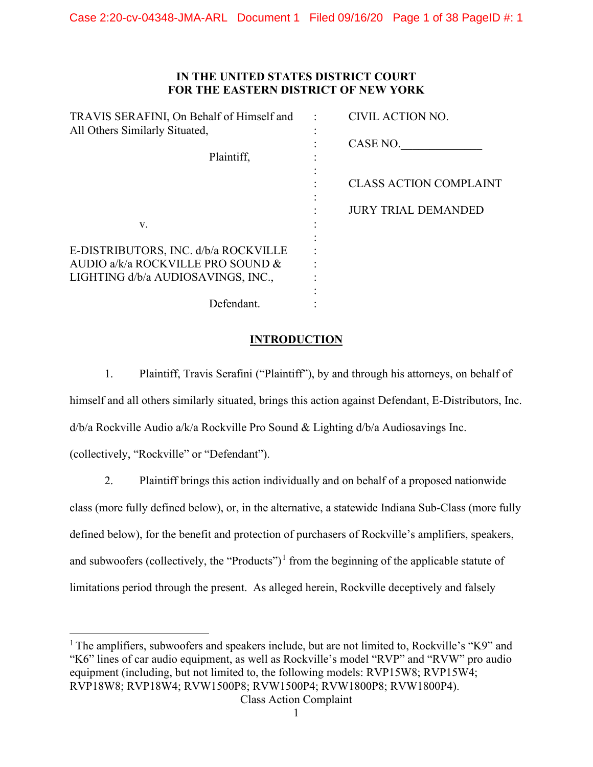## **IN THE UNITED STATES DISTRICT COURT FOR THE EASTERN DISTRICT OF NEW YORK**

| TRAVIS SERAFINI, On Behalf of Himself and<br>All Others Similarly Situated, | CIVIL ACTION NO.              |
|-----------------------------------------------------------------------------|-------------------------------|
|                                                                             | CASE NO.                      |
| Plaintiff,                                                                  |                               |
|                                                                             | <b>CLASS ACTION COMPLAINT</b> |
|                                                                             | <b>JURY TRIAL DEMANDED</b>    |
| V.                                                                          |                               |
|                                                                             |                               |
| E-DISTRIBUTORS, INC. d/b/a ROCKVILLE                                        |                               |
| AUDIO a/k/a ROCKVILLE PRO SOUND &                                           |                               |
| LIGHTING d/b/a AUDIOSAVINGS, INC.,                                          |                               |
|                                                                             |                               |
| Defendant.                                                                  |                               |

## **INTRODUCTION**

1. Plaintiff, Travis Serafini ("Plaintiff"), by and through his attorneys, on behalf of himself and all others similarly situated, brings this action against Defendant, E-Distributors, Inc. d/b/a Rockville Audio a/k/a Rockville Pro Sound & Lighting d/b/a Audiosavings Inc. (collectively, "Rockville" or "Defendant").

2. Plaintiff brings this action individually and on behalf of a proposed nationwide class (more fully defined below), or, in the alternative, a statewide Indiana Sub-Class (more fully defined below), for the benefit and protection of purchasers of Rockville's amplifiers, speakers, and subwoofers (collectively, the "Products")<sup>[1](#page-0-0)</sup> from the beginning of the applicable statute of limitations period through the present. As alleged herein, Rockville deceptively and falsely

<span id="page-0-0"></span><sup>1</sup> The amplifiers, subwoofers and speakers include, but are not limited to, Rockville's "K9" and "K6" lines of car audio equipment, as well as Rockville's model "RVP" and "RVW" pro audio equipment (including, but not limited to, the following models: RVP15W8; RVP15W4; RVP18W8; RVP18W4; RVW1500P8; RVW1500P4; RVW1800P8; RVW1800P4).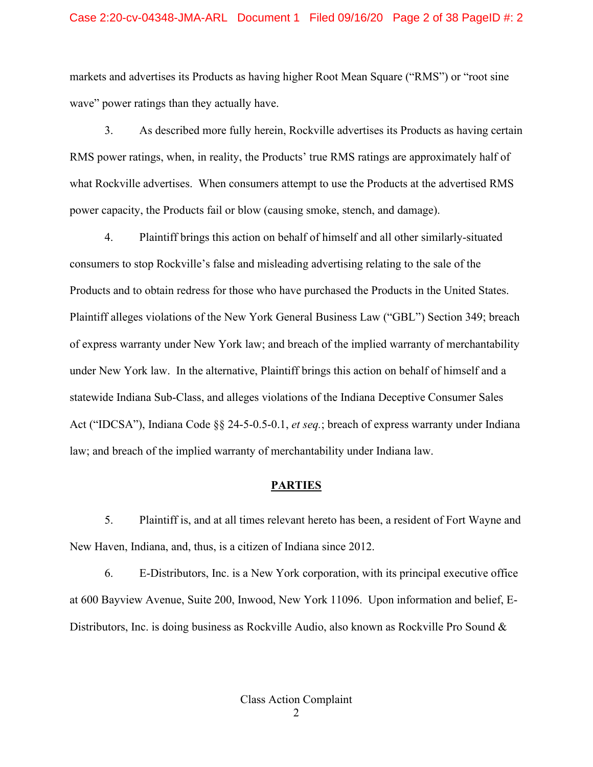#### Case 2:20-cv-04348-JMA-ARL Document 1 Filed 09/16/20 Page 2 of 38 PageID #: 2

markets and advertises its Products as having higher Root Mean Square ("RMS") or "root sine wave" power ratings than they actually have.

3. As described more fully herein, Rockville advertises its Products as having certain RMS power ratings, when, in reality, the Products' true RMS ratings are approximately half of what Rockville advertises. When consumers attempt to use the Products at the advertised RMS power capacity, the Products fail or blow (causing smoke, stench, and damage).

4. Plaintiff brings this action on behalf of himself and all other similarly-situated consumers to stop Rockville's false and misleading advertising relating to the sale of the Products and to obtain redress for those who have purchased the Products in the United States. Plaintiff alleges violations of the New York General Business Law ("GBL") Section 349; breach of express warranty under New York law; and breach of the implied warranty of merchantability under New York law. In the alternative, Plaintiff brings this action on behalf of himself and a statewide Indiana Sub-Class, and alleges violations of the Indiana Deceptive Consumer Sales Act ("IDCSA"), Indiana Code §§ 24-5-0.5-0.1, *et seq.*; breach of express warranty under Indiana law; and breach of the implied warranty of merchantability under Indiana law.

#### **PARTIES**

5. Plaintiff is, and at all times relevant hereto has been, a resident of Fort Wayne and New Haven, Indiana, and, thus, is a citizen of Indiana since 2012.

6. E-Distributors, Inc. is a New York corporation, with its principal executive office at 600 Bayview Avenue, Suite 200, Inwood, New York 11096. Upon information and belief, E-Distributors, Inc. is doing business as Rockville Audio, also known as Rockville Pro Sound &

2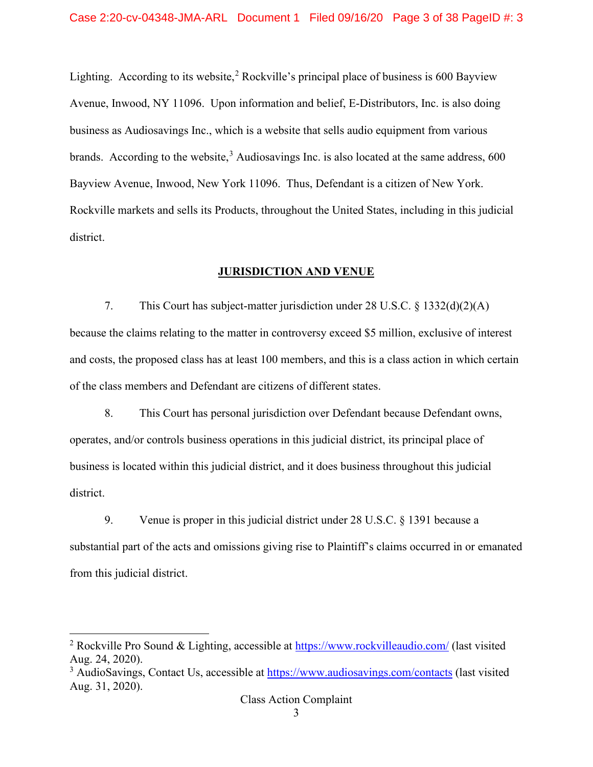Lighting. According to its website,<sup>[2](#page-2-0)</sup> Rockville's principal place of business is 600 Bayview Avenue, Inwood, NY 11096. Upon information and belief, E-Distributors, Inc. is also doing business as Audiosavings Inc., which is a website that sells audio equipment from various brands. According to the website,  $3$  Audiosavings Inc. is also located at the same address, 600 Bayview Avenue, Inwood, New York 11096. Thus, Defendant is a citizen of New York. Rockville markets and sells its Products, throughout the United States, including in this judicial district.

## **JURISDICTION AND VENUE**

7. This Court has subject-matter jurisdiction under 28 U.S.C. § 1332(d)(2)(A) because the claims relating to the matter in controversy exceed \$5 million, exclusive of interest and costs, the proposed class has at least 100 members, and this is a class action in which certain of the class members and Defendant are citizens of different states.

8. This Court has personal jurisdiction over Defendant because Defendant owns, operates, and/or controls business operations in this judicial district, its principal place of business is located within this judicial district, and it does business throughout this judicial district.

9. Venue is proper in this judicial district under 28 U.S.C. § 1391 because a substantial part of the acts and omissions giving rise to Plaintiff's claims occurred in or emanated from this judicial district.

<span id="page-2-0"></span><sup>&</sup>lt;sup>2</sup> Rockville Pro Sound & Lighting, accessible at **https://www.rockvilleaudio.com/** (last visited Aug. 24, 2020).

<span id="page-2-1"></span><sup>&</sup>lt;sup>3</sup> AudioSavings, Contact Us, accessible at **https://www.audiosavings.com/contacts** (last visited Aug. 31, 2020).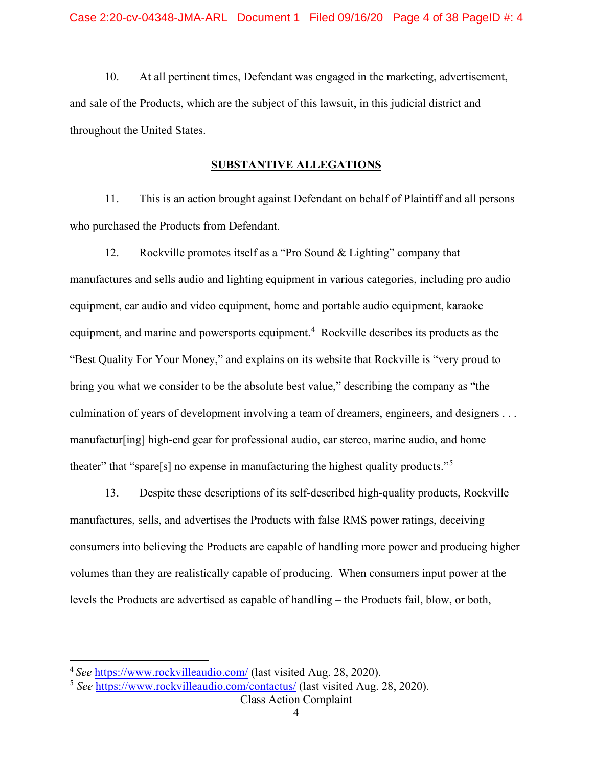10. At all pertinent times, Defendant was engaged in the marketing, advertisement, and sale of the Products, which are the subject of this lawsuit, in this judicial district and throughout the United States.

#### **SUBSTANTIVE ALLEGATIONS**

11. This is an action brought against Defendant on behalf of Plaintiff and all persons who purchased the Products from Defendant.

12. Rockville promotes itself as a "Pro Sound & Lighting" company that manufactures and sells audio and lighting equipment in various categories, including pro audio equipment, car audio and video equipment, home and portable audio equipment, karaoke equipment, and marine and powersports equipment.<sup>[4](#page-3-0)</sup> Rockville describes its products as the "Best Quality For Your Money," and explains on its website that Rockville is "very proud to bring you what we consider to be the absolute best value," describing the company as "the culmination of years of development involving a team of dreamers, engineers, and designers . . . manufactur[ing] high-end gear for professional audio, car stereo, marine audio, and home theater" that "spare[s] no expense in manufacturing the highest quality products."<sup>[5](#page-3-1)</sup>

13. Despite these descriptions of its self-described high-quality products, Rockville manufactures, sells, and advertises the Products with false RMS power ratings, deceiving consumers into believing the Products are capable of handling more power and producing higher volumes than they are realistically capable of producing. When consumers input power at the levels the Products are advertised as capable of handling – the Products fail, blow, or both,

<span id="page-3-0"></span><sup>4</sup>*See* <https://www.rockvilleaudio.com/>(last visited Aug. 28, 2020).

<span id="page-3-1"></span><sup>5</sup> *See* <https://www.rockvilleaudio.com/contactus/>(last visited Aug. 28, 2020).

Class Action Complaint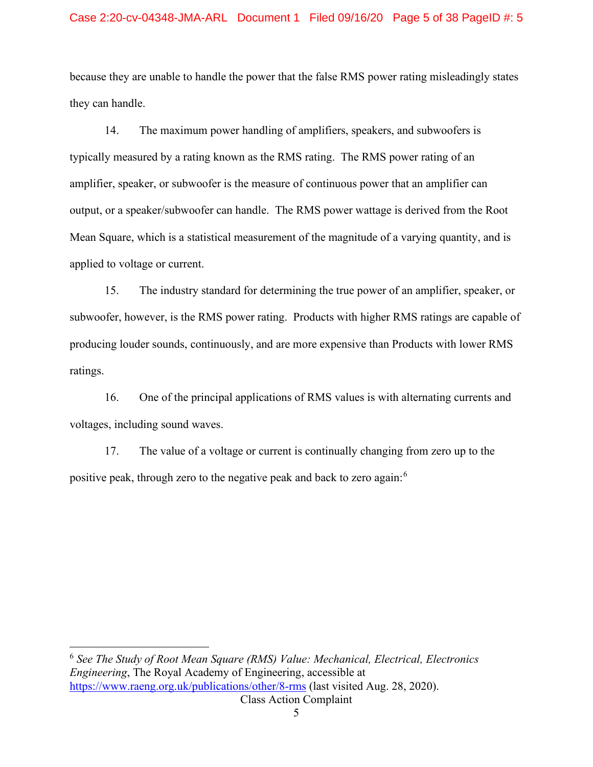#### Case 2:20-cv-04348-JMA-ARL Document 1 Filed 09/16/20 Page 5 of 38 PageID #: 5

because they are unable to handle the power that the false RMS power rating misleadingly states they can handle.

14. The maximum power handling of amplifiers, speakers, and subwoofers is typically measured by a rating known as the RMS rating. The RMS power rating of an amplifier, speaker, or subwoofer is the measure of continuous power that an amplifier can output, or a speaker/subwoofer can handle. The RMS power wattage is derived from the Root Mean Square, which is a statistical measurement of the magnitude of a varying quantity, and is applied to voltage or current.

15. The industry standard for determining the true power of an amplifier, speaker, or subwoofer, however, is the RMS power rating. Products with higher RMS ratings are capable of producing louder sounds, continuously, and are more expensive than Products with lower RMS ratings.

16. One of the principal applications of RMS values is with alternating currents and voltages, including sound waves.

17. The value of a voltage or current is continually changing from zero up to the positive peak, through zero to the negative peak and back to zero again:[6](#page-4-0)

<span id="page-4-0"></span>Class Action Complaint <sup>6</sup> *See The Study of Root Mean Square (RMS) Value: Mechanical, Electrical, Electronics Engineering*, The Royal Academy of Engineering, accessible at <https://www.raeng.org.uk/publications/other/8-rms>(last visited Aug. 28, 2020).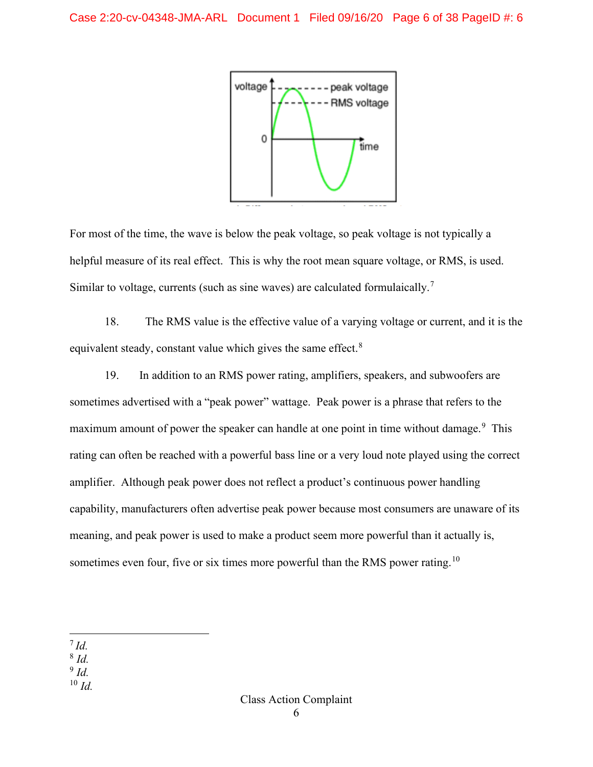

For most of the time, the wave is below the peak voltage, so peak voltage is not typically a helpful measure of its real effect. This is why the root mean square voltage, or RMS, is used. Similar to voltage, currents (such as sine waves) are calculated formulaically.<sup>[7](#page-5-0)</sup>

18. The RMS value is the effective value of a varying voltage or current, and it is the equivalent steady, constant value which gives the same effect.<sup>[8](#page-5-1)</sup>

19. In addition to an RMS power rating, amplifiers, speakers, and subwoofers are sometimes advertised with a "peak power" wattage. Peak power is a phrase that refers to the maximum amount of power the speaker can handle at one point in time without damage.<sup>[9](#page-5-2)</sup> This rating can often be reached with a powerful bass line or a very loud note played using the correct amplifier. Although peak power does not reflect a product's continuous power handling capability, manufacturers often advertise peak power because most consumers are unaware of its meaning, and peak power is used to make a product seem more powerful than it actually is, sometimes even four, five or six times more powerful than the RMS power rating.<sup>[10](#page-5-3)</sup>

<span id="page-5-0"></span><sup>7</sup>*Id.* 

- <span id="page-5-1"></span><sup>8</sup> *Id.*
- <span id="page-5-2"></span><sup>9</sup> *Id.*
- <span id="page-5-3"></span> $10$  *Id.*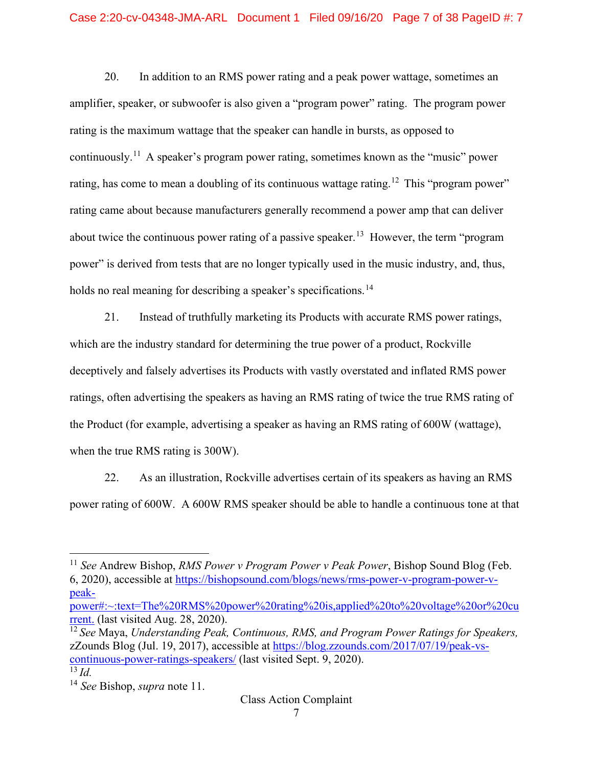20. In addition to an RMS power rating and a peak power wattage, sometimes an amplifier, speaker, or subwoofer is also given a "program power" rating. The program power rating is the maximum wattage that the speaker can handle in bursts, as opposed to continuously.<sup>[11](#page-6-0)</sup> A speaker's program power rating, sometimes known as the "music" power rating, has come to mean a doubling of its continuous wattage rating.<sup>[12](#page-6-1)</sup> This "program power" rating came about because manufacturers generally recommend a power amp that can deliver about twice the continuous power rating of a passive speaker.<sup>13</sup> However, the term "program" power" is derived from tests that are no longer typically used in the music industry, and, thus, holds no real meaning for describing a speaker's specifications.<sup>[14](#page-6-3)</sup>

21. Instead of truthfully marketing its Products with accurate RMS power ratings, which are the industry standard for determining the true power of a product, Rockville deceptively and falsely advertises its Products with vastly overstated and inflated RMS power ratings, often advertising the speakers as having an RMS rating of twice the true RMS rating of the Product (for example, advertising a speaker as having an RMS rating of 600W (wattage), when the true RMS rating is 300W).

22. As an illustration, Rockville advertises certain of its speakers as having an RMS power rating of 600W. A 600W RMS speaker should be able to handle a continuous tone at that

<span id="page-6-1"></span><sup>12</sup> *See* Maya, *Understanding Peak, Continuous, RMS, and Program Power Ratings for Speakers,*  zZounds Blog (Jul. 19, 2017), accessible at [https://blog.zzounds.com/2017/07/19/peak-vs](https://blog.zzounds.com/2017/07/19/peak-vs-continuous-power-ratings-speakers/)[continuous-power-ratings-speakers/](https://blog.zzounds.com/2017/07/19/peak-vs-continuous-power-ratings-speakers/) (last visited Sept. 9, 2020).  $\overline{^{13}$  *Id.* 

<span id="page-6-0"></span><sup>11</sup> *See* Andrew Bishop, *RMS Power v Program Power v Peak Power*, Bishop Sound Blog (Feb. 6, 2020), accessible at [https://bishopsound.com/blogs/news/rms-power-v-program-power-v](https://bishopsound.com/blogs/news/rms-power-v-program-power-v-peak-power#:%7E:text=The%20RMS%20power%20rating%20is,applied%20to%20voltage%20or%20current.)[peak-](https://bishopsound.com/blogs/news/rms-power-v-program-power-v-peak-power#:%7E:text=The%20RMS%20power%20rating%20is,applied%20to%20voltage%20or%20current.)

[power#:~:text=The%20RMS%20power%20rating%20is,applied%20to%20voltage%20or%20cu](https://bishopsound.com/blogs/news/rms-power-v-program-power-v-peak-power#:%7E:text=The%20RMS%20power%20rating%20is,applied%20to%20voltage%20or%20current.) [rrent.](https://bishopsound.com/blogs/news/rms-power-v-program-power-v-peak-power#:%7E:text=The%20RMS%20power%20rating%20is,applied%20to%20voltage%20or%20current.) (last visited Aug. 28, 2020).

<span id="page-6-3"></span><span id="page-6-2"></span><sup>14</sup> *See* Bishop, *supra* note 11.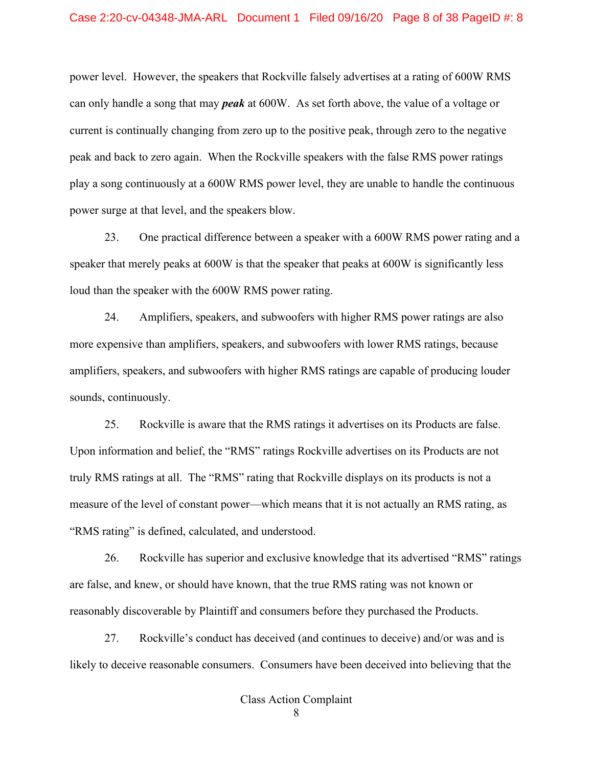power level. However, the speakers that Rockville falsely advertises at a rating of 600W RMS can only handle a song that may *peak* at 600W. As set forth above, the value of a voltage or current is continually changing from zero up to the positive peak, through zero to the negative peak and back to zero again. When the Rockville speakers with the false RMS power ratings play a song continuously at a 600W RMS power level, they are unable to handle the continuous power surge at that level, and the speakers blow.

23. One practical difference between a speaker with a 600W RMS power rating and a speaker that merely peaks at 600W is that the speaker that peaks at 600W is significantly less loud than the speaker with the 600W RMS power rating.

24. Amplifiers, speakers, and subwoofers with higher RMS power ratings are also more expensive than amplifiers, speakers, and subwoofers with lower RMS ratings, because amplifiers, speakers, and subwoofers with higher RMS ratings are capable of producing louder sounds, continuously.

25. Rockville is aware that the RMS ratings it advertises on its Products are false. Upon information and belief, the "RMS" ratings Rockville advertises on its Products are not truly RMS ratings at all. The "RMS" rating that Rockville displays on its products is not a measure of the level of constant power—which means that it is not actually an RMS rating, as "RMS rating" is defined, calculated, and understood.

26. Rockville has superior and exclusive knowledge that its advertised "RMS" ratings are false, and knew, or should have known, that the true RMS rating was not known or reasonably discoverable by Plaintiff and consumers before they purchased the Products.

27. Rockville's conduct has deceived (and continues to deceive) and/or was and is likely to deceive reasonable consumers. Consumers have been deceived into believing that the

8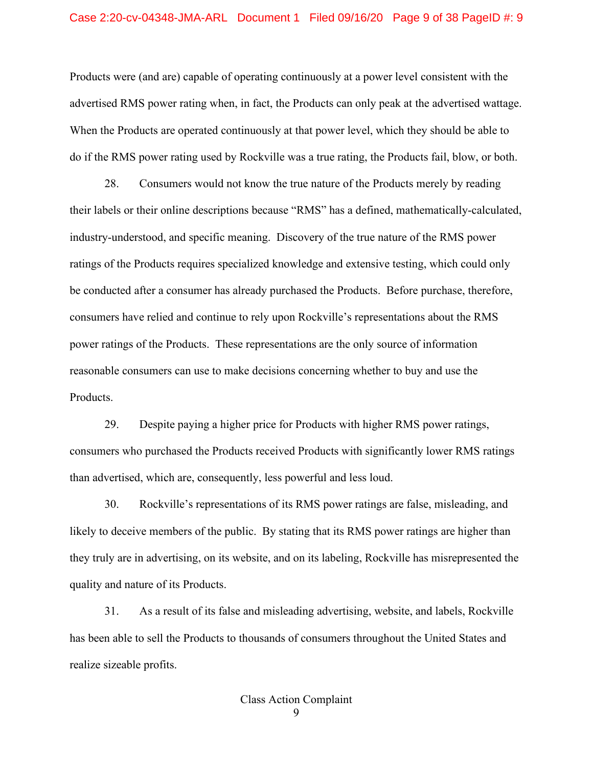#### Case 2:20-cv-04348-JMA-ARL Document 1 Filed 09/16/20 Page 9 of 38 PageID #: 9

Products were (and are) capable of operating continuously at a power level consistent with the advertised RMS power rating when, in fact, the Products can only peak at the advertised wattage. When the Products are operated continuously at that power level, which they should be able to do if the RMS power rating used by Rockville was a true rating, the Products fail, blow, or both.

28. Consumers would not know the true nature of the Products merely by reading their labels or their online descriptions because "RMS" has a defined, mathematically-calculated, industry-understood, and specific meaning. Discovery of the true nature of the RMS power ratings of the Products requires specialized knowledge and extensive testing, which could only be conducted after a consumer has already purchased the Products. Before purchase, therefore, consumers have relied and continue to rely upon Rockville's representations about the RMS power ratings of the Products. These representations are the only source of information reasonable consumers can use to make decisions concerning whether to buy and use the Products.

29. Despite paying a higher price for Products with higher RMS power ratings, consumers who purchased the Products received Products with significantly lower RMS ratings than advertised, which are, consequently, less powerful and less loud.

30. Rockville's representations of its RMS power ratings are false, misleading, and likely to deceive members of the public. By stating that its RMS power ratings are higher than they truly are in advertising, on its website, and on its labeling, Rockville has misrepresented the quality and nature of its Products.

31. As a result of its false and misleading advertising, website, and labels, Rockville has been able to sell the Products to thousands of consumers throughout the United States and realize sizeable profits.

9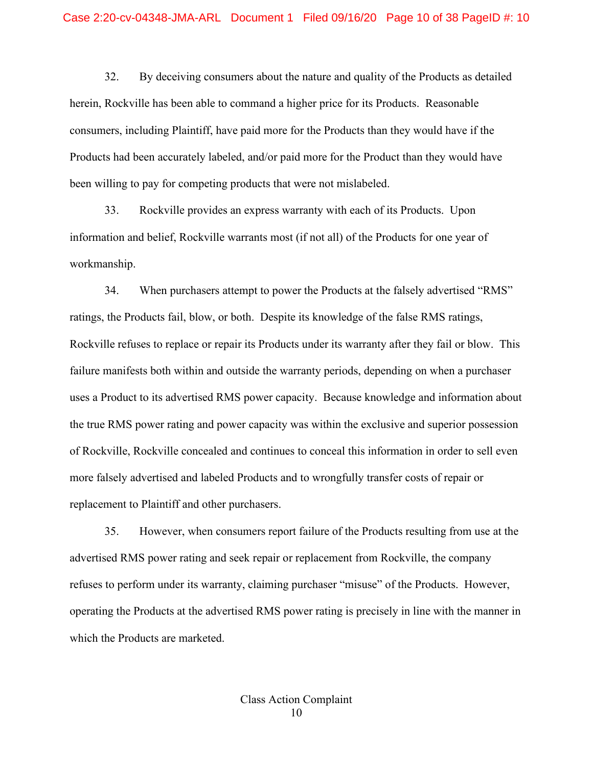32. By deceiving consumers about the nature and quality of the Products as detailed herein, Rockville has been able to command a higher price for its Products. Reasonable consumers, including Plaintiff, have paid more for the Products than they would have if the Products had been accurately labeled, and/or paid more for the Product than they would have been willing to pay for competing products that were not mislabeled.

33. Rockville provides an express warranty with each of its Products. Upon information and belief, Rockville warrants most (if not all) of the Products for one year of workmanship.

34. When purchasers attempt to power the Products at the falsely advertised "RMS" ratings, the Products fail, blow, or both. Despite its knowledge of the false RMS ratings, Rockville refuses to replace or repair its Products under its warranty after they fail or blow. This failure manifests both within and outside the warranty periods, depending on when a purchaser uses a Product to its advertised RMS power capacity. Because knowledge and information about the true RMS power rating and power capacity was within the exclusive and superior possession of Rockville, Rockville concealed and continues to conceal this information in order to sell even more falsely advertised and labeled Products and to wrongfully transfer costs of repair or replacement to Plaintiff and other purchasers.

35. However, when consumers report failure of the Products resulting from use at the advertised RMS power rating and seek repair or replacement from Rockville, the company refuses to perform under its warranty, claiming purchaser "misuse" of the Products. However, operating the Products at the advertised RMS power rating is precisely in line with the manner in which the Products are marketed.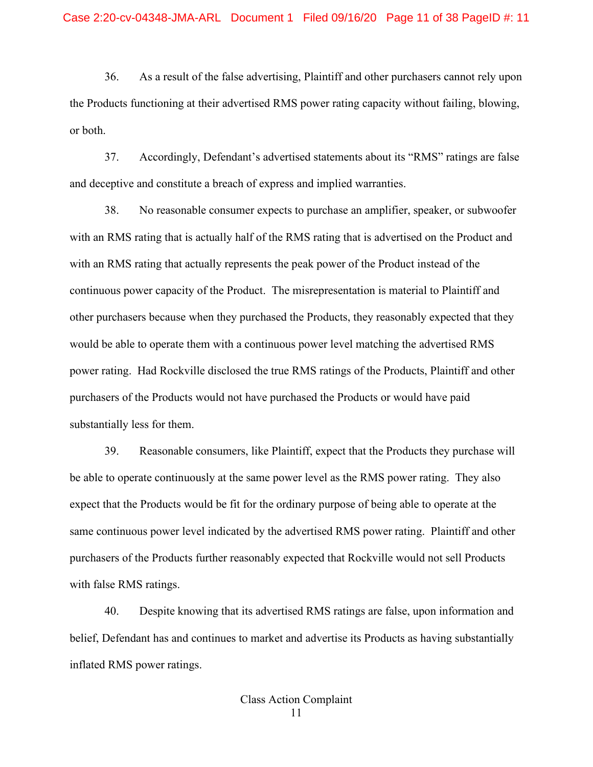36. As a result of the false advertising, Plaintiff and other purchasers cannot rely upon the Products functioning at their advertised RMS power rating capacity without failing, blowing, or both.

37. Accordingly, Defendant's advertised statements about its "RMS" ratings are false and deceptive and constitute a breach of express and implied warranties.

38. No reasonable consumer expects to purchase an amplifier, speaker, or subwoofer with an RMS rating that is actually half of the RMS rating that is advertised on the Product and with an RMS rating that actually represents the peak power of the Product instead of the continuous power capacity of the Product. The misrepresentation is material to Plaintiff and other purchasers because when they purchased the Products, they reasonably expected that they would be able to operate them with a continuous power level matching the advertised RMS power rating. Had Rockville disclosed the true RMS ratings of the Products, Plaintiff and other purchasers of the Products would not have purchased the Products or would have paid substantially less for them.

39. Reasonable consumers, like Plaintiff, expect that the Products they purchase will be able to operate continuously at the same power level as the RMS power rating. They also expect that the Products would be fit for the ordinary purpose of being able to operate at the same continuous power level indicated by the advertised RMS power rating. Plaintiff and other purchasers of the Products further reasonably expected that Rockville would not sell Products with false RMS ratings.

40. Despite knowing that its advertised RMS ratings are false, upon information and belief, Defendant has and continues to market and advertise its Products as having substantially inflated RMS power ratings.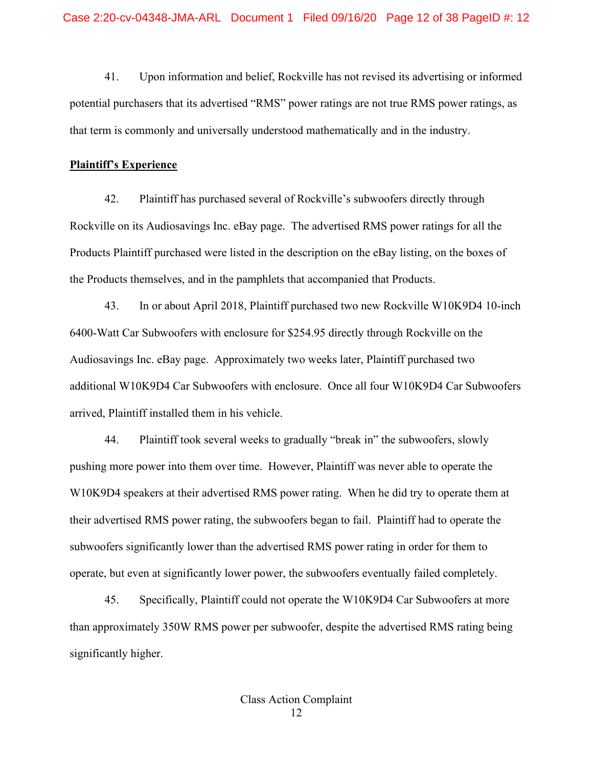41. Upon information and belief, Rockville has not revised its advertising or informed potential purchasers that its advertised "RMS" power ratings are not true RMS power ratings, as that term is commonly and universally understood mathematically and in the industry.

#### **Plaintiff's Experience**

42. Plaintiff has purchased several of Rockville's subwoofers directly through Rockville on its Audiosavings Inc. eBay page. The advertised RMS power ratings for all the Products Plaintiff purchased were listed in the description on the eBay listing, on the boxes of the Products themselves, and in the pamphlets that accompanied that Products.

43. In or about April 2018, Plaintiff purchased two new Rockville W10K9D4 10-inch 6400-Watt Car Subwoofers with enclosure for \$254.95 directly through Rockville on the Audiosavings Inc. eBay page. Approximately two weeks later, Plaintiff purchased two additional W10K9D4 Car Subwoofers with enclosure. Once all four W10K9D4 Car Subwoofers arrived, Plaintiff installed them in his vehicle.

44. Plaintiff took several weeks to gradually "break in" the subwoofers, slowly pushing more power into them over time. However, Plaintiff was never able to operate the W10K9D4 speakers at their advertised RMS power rating. When he did try to operate them at their advertised RMS power rating, the subwoofers began to fail. Plaintiff had to operate the subwoofers significantly lower than the advertised RMS power rating in order for them to operate, but even at significantly lower power, the subwoofers eventually failed completely.

45. Specifically, Plaintiff could not operate the W10K9D4 Car Subwoofers at more than approximately 350W RMS power per subwoofer, despite the advertised RMS rating being significantly higher.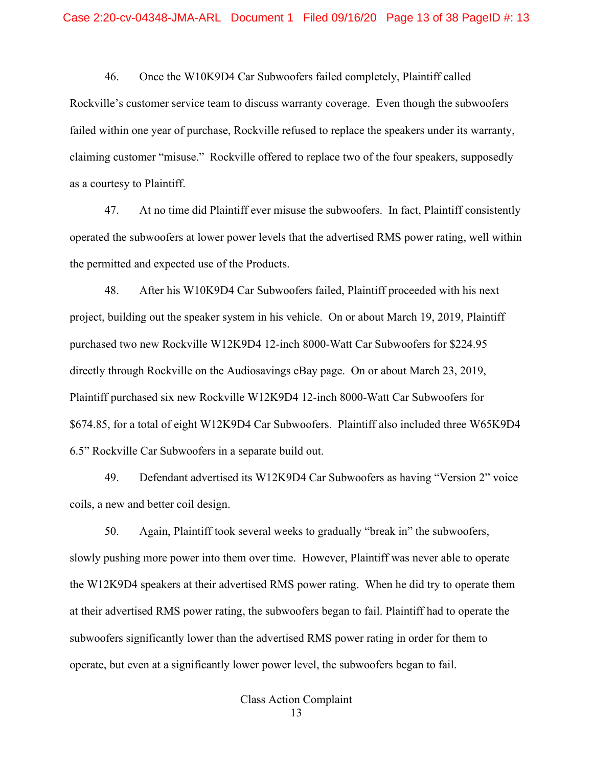46. Once the W10K9D4 Car Subwoofers failed completely, Plaintiff called Rockville's customer service team to discuss warranty coverage. Even though the subwoofers failed within one year of purchase, Rockville refused to replace the speakers under its warranty, claiming customer "misuse." Rockville offered to replace two of the four speakers, supposedly as a courtesy to Plaintiff.

47. At no time did Plaintiff ever misuse the subwoofers. In fact, Plaintiff consistently operated the subwoofers at lower power levels that the advertised RMS power rating, well within the permitted and expected use of the Products.

48. After his W10K9D4 Car Subwoofers failed, Plaintiff proceeded with his next project, building out the speaker system in his vehicle. On or about March 19, 2019, Plaintiff purchased two new Rockville W12K9D4 12-inch 8000-Watt Car Subwoofers for \$224.95 directly through Rockville on the Audiosavings eBay page. On or about March 23, 2019, Plaintiff purchased six new Rockville W12K9D4 12-inch 8000-Watt Car Subwoofers for \$674.85, for a total of eight W12K9D4 Car Subwoofers. Plaintiff also included three W65K9D4 6.5" Rockville Car Subwoofers in a separate build out.

49. Defendant advertised its W12K9D4 Car Subwoofers as having "Version 2" voice coils, a new and better coil design.

50. Again, Plaintiff took several weeks to gradually "break in" the subwoofers, slowly pushing more power into them over time. However, Plaintiff was never able to operate the W12K9D4 speakers at their advertised RMS power rating. When he did try to operate them at their advertised RMS power rating, the subwoofers began to fail. Plaintiff had to operate the subwoofers significantly lower than the advertised RMS power rating in order for them to operate, but even at a significantly lower power level, the subwoofers began to fail.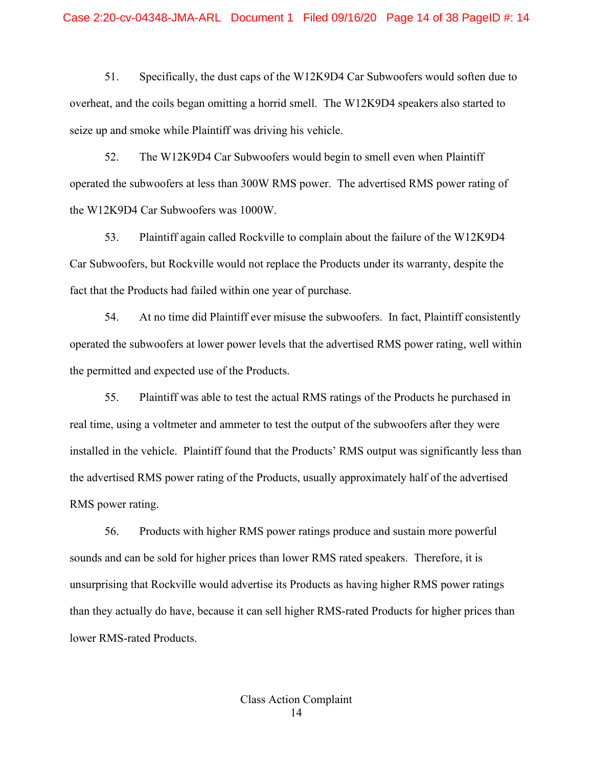51. Specifically, the dust caps of the W12K9D4 Car Subwoofers would soften due to overheat, and the coils began omitting a horrid smell. The W12K9D4 speakers also started to seize up and smoke while Plaintiff was driving his vehicle.

52. The W12K9D4 Car Subwoofers would begin to smell even when Plaintiff operated the subwoofers at less than 300W RMS power. The advertised RMS power rating of the W12K9D4 Car Subwoofers was 1000W.

53. Plaintiff again called Rockville to complain about the failure of the W12K9D4 Car Subwoofers, but Rockville would not replace the Products under its warranty, despite the fact that the Products had failed within one year of purchase.

54. At no time did Plaintiff ever misuse the subwoofers. In fact, Plaintiff consistently operated the subwoofers at lower power levels that the advertised RMS power rating, well within the permitted and expected use of the Products.

55. Plaintiff was able to test the actual RMS ratings of the Products he purchased in real time, using a voltmeter and ammeter to test the output of the subwoofers after they were installed in the vehicle. Plaintiff found that the Products' RMS output was significantly less than the advertised RMS power rating of the Products, usually approximately half of the advertised RMS power rating.

56. Products with higher RMS power ratings produce and sustain more powerful sounds and can be sold for higher prices than lower RMS rated speakers. Therefore, it is unsurprising that Rockville would advertise its Products as having higher RMS power ratings than they actually do have, because it can sell higher RMS-rated Products for higher prices than lower RMS-rated Products.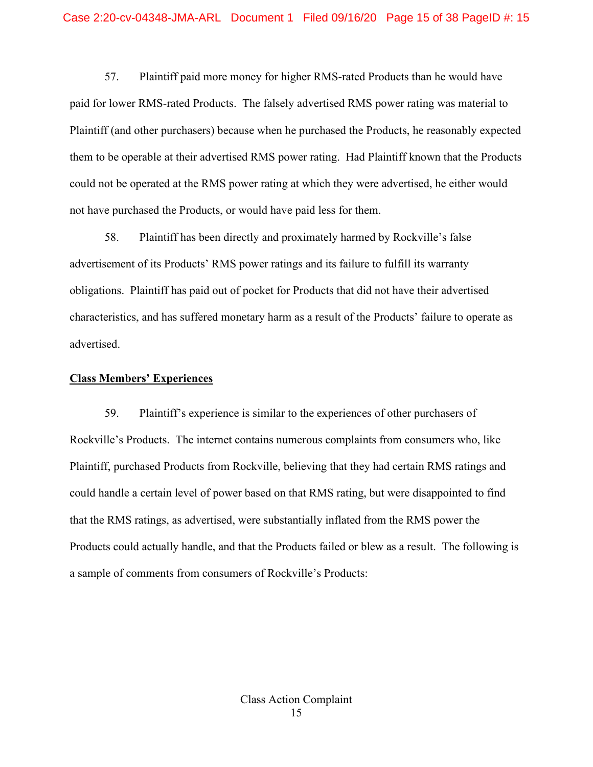57. Plaintiff paid more money for higher RMS-rated Products than he would have paid for lower RMS-rated Products. The falsely advertised RMS power rating was material to Plaintiff (and other purchasers) because when he purchased the Products, he reasonably expected them to be operable at their advertised RMS power rating. Had Plaintiff known that the Products could not be operated at the RMS power rating at which they were advertised, he either would not have purchased the Products, or would have paid less for them.

58. Plaintiff has been directly and proximately harmed by Rockville's false advertisement of its Products' RMS power ratings and its failure to fulfill its warranty obligations. Plaintiff has paid out of pocket for Products that did not have their advertised characteristics, and has suffered monetary harm as a result of the Products' failure to operate as advertised.

#### **Class Members' Experiences**

59. Plaintiff's experience is similar to the experiences of other purchasers of Rockville's Products. The internet contains numerous complaints from consumers who, like Plaintiff, purchased Products from Rockville, believing that they had certain RMS ratings and could handle a certain level of power based on that RMS rating, but were disappointed to find that the RMS ratings, as advertised, were substantially inflated from the RMS power the Products could actually handle, and that the Products failed or blew as a result. The following is a sample of comments from consumers of Rockville's Products: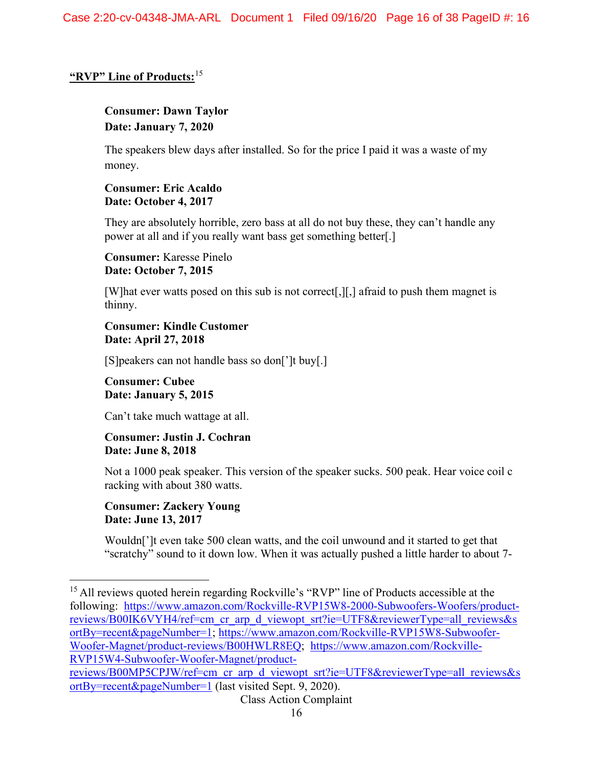# **"RVP" Line of Products:**[15](#page-15-0)

# **Consumer: Dawn Taylor Date: January 7, 2020**

The speakers blew days after installed. So for the price I paid it was a waste of my money.

## **Consumer: Eric Acaldo Date: October 4, 2017**

They are absolutely horrible, zero bass at all do not buy these, they can't handle any power at all and if you really want bass get something better[.]

**Consumer:** Karesse Pinelo **Date: October 7, 2015** 

[W]hat ever watts posed on this sub is not correct[,][,] afraid to push them magnet is thinny.

**Consumer: Kindle Customer Date: April 27, 2018** 

[S]peakers can not handle bass so don[']t buy[.]

**Consumer: Cubee Date: January 5, 2015** 

Can't take much wattage at all.

**Consumer: Justin J. Cochran Date: June 8, 2018** 

Not a 1000 peak speaker. This version of the speaker sucks. 500 peak. Hear voice coil c racking with about 380 watts.

**Consumer: Zackery Young Date: June 13, 2017** 

Wouldn[']t even take 500 clean watts, and the coil unwound and it started to get that "scratchy" sound to it down low. When it was actually pushed a little harder to about 7-

<span id="page-15-0"></span><sup>&</sup>lt;sup>15</sup> All reviews quoted herein regarding Rockville's "RVP" line of Products accessible at the following: [https://www.amazon.com/Rockville-RVP15W8-2000-Subwoofers-Woofers/product](https://www.amazon.com/Rockville-RVP15W8-2000-Subwoofers-Woofers/product-reviews/B00IK6VYH4/ref=cm_cr_arp_d_viewopt_srt?ie=UTF8&reviewerType=all_reviews&sortBy=recent&pageNumber=1)[reviews/B00IK6VYH4/ref=cm\\_cr\\_arp\\_d\\_viewopt\\_srt?ie=UTF8&reviewerType=all\\_reviews&s](https://www.amazon.com/Rockville-RVP15W8-2000-Subwoofers-Woofers/product-reviews/B00IK6VYH4/ref=cm_cr_arp_d_viewopt_srt?ie=UTF8&reviewerType=all_reviews&sortBy=recent&pageNumber=1) [ortBy=recent&pageNumber=1;](https://www.amazon.com/Rockville-RVP15W8-2000-Subwoofers-Woofers/product-reviews/B00IK6VYH4/ref=cm_cr_arp_d_viewopt_srt?ie=UTF8&reviewerType=all_reviews&sortBy=recent&pageNumber=1) [https://www.amazon.com/Rockville-RVP15W8-Subwoofer-](https://www.amazon.com/Rockville-RVP15W8-Subwoofer-Woofer-Magnet/product-reviews/B00HWLR8EQ)[Woofer-Magnet/product-reviews/B00HWLR8EQ;](https://www.amazon.com/Rockville-RVP15W8-Subwoofer-Woofer-Magnet/product-reviews/B00HWLR8EQ) [https://www.amazon.com/Rockville-](https://www.amazon.com/Rockville-RVP15W4-Subwoofer-Woofer-Magnet/product-reviews/B00MP5CPJW/ref=cm_cr_arp_d_viewopt_srt?ie=UTF8&reviewerType=all_reviews&sortBy=recent&pageNumber=1)[RVP15W4-Subwoofer-Woofer-Magnet/product-](https://www.amazon.com/Rockville-RVP15W4-Subwoofer-Woofer-Magnet/product-reviews/B00MP5CPJW/ref=cm_cr_arp_d_viewopt_srt?ie=UTF8&reviewerType=all_reviews&sortBy=recent&pageNumber=1)

[reviews/B00MP5CPJW/ref=cm\\_cr\\_arp\\_d\\_viewopt\\_srt?ie=UTF8&reviewerType=all\\_reviews&s](https://www.amazon.com/Rockville-RVP15W4-Subwoofer-Woofer-Magnet/product-reviews/B00MP5CPJW/ref=cm_cr_arp_d_viewopt_srt?ie=UTF8&reviewerType=all_reviews&sortBy=recent&pageNumber=1) [ortBy=recent&pageNumber=1](https://www.amazon.com/Rockville-RVP15W4-Subwoofer-Woofer-Magnet/product-reviews/B00MP5CPJW/ref=cm_cr_arp_d_viewopt_srt?ie=UTF8&reviewerType=all_reviews&sortBy=recent&pageNumber=1) (last visited Sept. 9, 2020).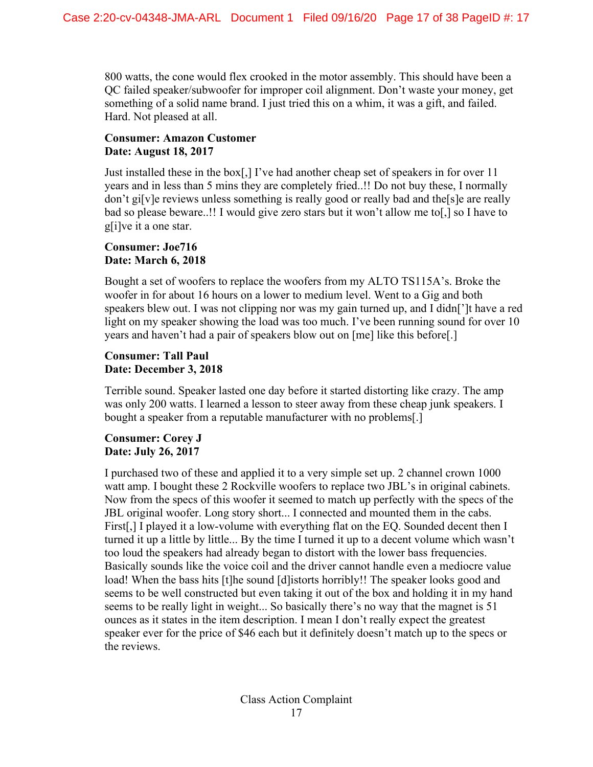800 watts, the cone would flex crooked in the motor assembly. This should have been a QC failed speaker/subwoofer for improper coil alignment. Don't waste your money, get something of a solid name brand. I just tried this on a whim, it was a gift, and failed. Hard. Not pleased at all.

## **Consumer: Amazon Customer Date: August 18, 2017**

Just installed these in the box[,] I've had another cheap set of speakers in for over 11 years and in less than 5 mins they are completely fried..!! Do not buy these, I normally don't gi[v]e reviews unless something is really good or really bad and the[s]e are really bad so please beware..!! I would give zero stars but it won't allow me to[,] so I have to g[i]ve it a one star.

## **Consumer: Joe716 Date: March 6, 2018**

Bought a set of woofers to replace the woofers from my ALTO TS115A's. Broke the woofer in for about 16 hours on a lower to medium level. Went to a Gig and both speakers blew out. I was not clipping nor was my gain turned up, and I didn[']t have a red light on my speaker showing the load was too much. I've been running sound for over 10 years and haven't had a pair of speakers blow out on [me] like this before[.]

## **Consumer: Tall Paul Date: December 3, 2018**

Terrible sound. Speaker lasted one day before it started distorting like crazy. The amp was only 200 watts. I learned a lesson to steer away from these cheap junk speakers. I bought a speaker from a reputable manufacturer with no problems[.]

## **Consumer: Corey J Date: July 26, 2017**

I purchased two of these and applied it to a very simple set up. 2 channel crown 1000 watt amp. I bought these 2 Rockville woofers to replace two JBL's in original cabinets. Now from the specs of this woofer it seemed to match up perfectly with the specs of the JBL original woofer. Long story short... I connected and mounted them in the cabs. First[,] I played it a low-volume with everything flat on the EQ. Sounded decent then I turned it up a little by little... By the time I turned it up to a decent volume which wasn't too loud the speakers had already began to distort with the lower bass frequencies. Basically sounds like the voice coil and the driver cannot handle even a mediocre value load! When the bass hits [t]he sound [d]istorts horribly!! The speaker looks good and seems to be well constructed but even taking it out of the box and holding it in my hand seems to be really light in weight... So basically there's no way that the magnet is 51 ounces as it states in the item description. I mean I don't really expect the greatest speaker ever for the price of \$46 each but it definitely doesn't match up to the specs or the reviews.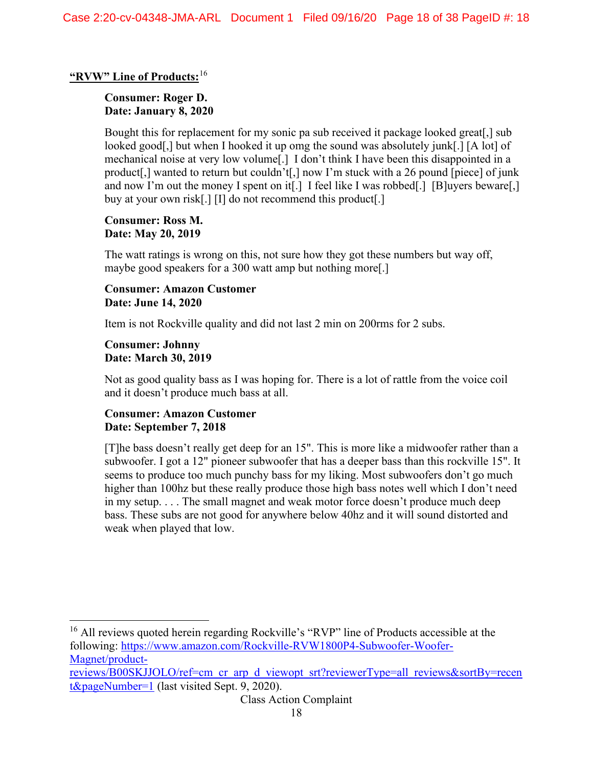## **"RVW" Line of Products:**[16](#page-17-0)

### **Consumer: Roger D. Date: January 8, 2020**

Bought this for replacement for my sonic pa sub received it package looked great[,] sub looked good[,] but when I hooked it up omg the sound was absolutely junk[.] [A lot] of mechanical noise at very low volume[.] I don't think I have been this disappointed in a product[,] wanted to return but couldn't[,] now I'm stuck with a 26 pound [piece] of junk and now I'm out the money I spent on it<sup>[1]</sup> I feel like I was robbed<sup>[1]</sup> [B]uyers beware[1] buy at your own risk[.] [I] do not recommend this product[.]

### **Consumer: Ross M. Date: May 20, 2019**

The watt ratings is wrong on this, not sure how they got these numbers but way off, maybe good speakers for a 300 watt amp but nothing more[.]

### **Consumer: Amazon Customer Date: June 14, 2020**

Item is not Rockville quality and did not last 2 min on 200rms for 2 subs.

#### **Consumer: Johnny Date: March 30, 2019**

Not as good quality bass as I was hoping for. There is a lot of rattle from the voice coil and it doesn't produce much bass at all.

#### **Consumer: Amazon Customer Date: September 7, 2018**

[T]he bass doesn't really get deep for an 15". This is more like a midwoofer rather than a subwoofer. I got a 12" pioneer subwoofer that has a deeper bass than this rockville 15". It seems to produce too much punchy bass for my liking. Most subwoofers don't go much higher than 100hz but these really produce those high bass notes well which I don't need in my setup. . . . The small magnet and weak motor force doesn't produce much deep bass. These subs are not good for anywhere below 40hz and it will sound distorted and weak when played that low.

<span id="page-17-0"></span><sup>16</sup> All reviews quoted herein regarding Rockville's "RVP" line of Products accessible at the following: [https://www.amazon.com/Rockville-RVW1800P4-Subwoofer-Woofer-](https://www.amazon.com/Rockville-RVW1800P4-Subwoofer-Woofer-Magnet/product-reviews/B00SKJJOLO/ref=cm_cr_arp_d_viewopt_srt?reviewerType=all_reviews&sortBy=recent&pageNumber=1)[Magnet/product-](https://www.amazon.com/Rockville-RVW1800P4-Subwoofer-Woofer-Magnet/product-reviews/B00SKJJOLO/ref=cm_cr_arp_d_viewopt_srt?reviewerType=all_reviews&sortBy=recent&pageNumber=1)

[reviews/B00SKJJOLO/ref=cm\\_cr\\_arp\\_d\\_viewopt\\_srt?reviewerType=all\\_reviews&sortBy=recen](https://www.amazon.com/Rockville-RVW1800P4-Subwoofer-Woofer-Magnet/product-reviews/B00SKJJOLO/ref=cm_cr_arp_d_viewopt_srt?reviewerType=all_reviews&sortBy=recent&pageNumber=1) [t&pageNumber=1](https://www.amazon.com/Rockville-RVW1800P4-Subwoofer-Woofer-Magnet/product-reviews/B00SKJJOLO/ref=cm_cr_arp_d_viewopt_srt?reviewerType=all_reviews&sortBy=recent&pageNumber=1) (last visited Sept. 9, 2020).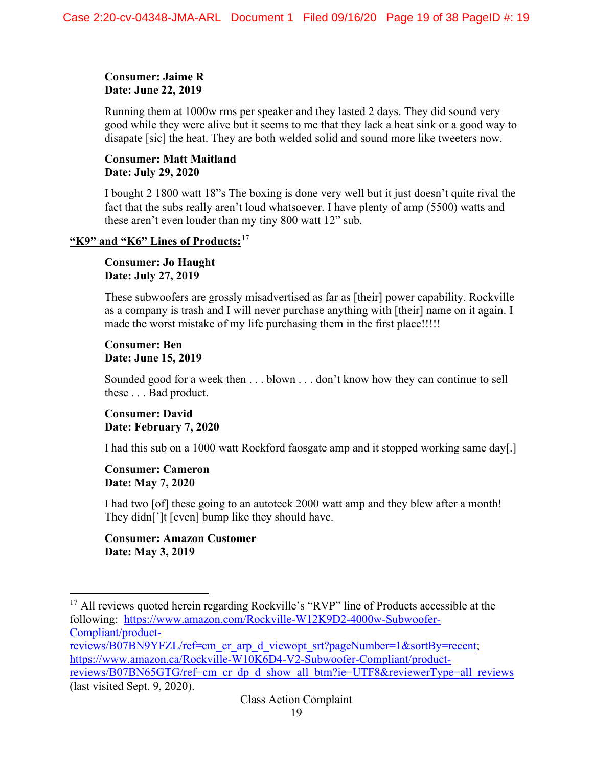## **Consumer: Jaime R Date: June 22, 2019**

Running them at 1000w rms per speaker and they lasted 2 days. They did sound very good while they were alive but it seems to me that they lack a heat sink or a good way to disapate [sic] the heat. They are both welded solid and sound more like tweeters now.

## **Consumer: Matt Maitland Date: July 29, 2020**

I bought 2 1800 watt 18"s The boxing is done very well but it just doesn't quite rival the fact that the subs really aren't loud whatsoever. I have plenty of amp (5500) watts and these aren't even louder than my tiny 800 watt 12" sub.

## **"K9" and "K6" Lines of Products:**[17](#page-18-0)

**Consumer: Jo Haught Date: July 27, 2019** 

These subwoofers are grossly misadvertised as far as [their] power capability. Rockville as a company is trash and I will never purchase anything with [their] name on it again. I made the worst mistake of my life purchasing them in the first place!!!!!

### **Consumer: Ben Date: June 15, 2019**

Sounded good for a week then . . . blown . . . don't know how they can continue to sell these . . . Bad product.

## **Consumer: David Date: February 7, 2020**

I had this sub on a 1000 watt Rockford faosgate amp and it stopped working same day[.]

## **Consumer: Cameron Date: May 7, 2020**

I had two [of] these going to an autoteck 2000 watt amp and they blew after a month! They didn[']t [even] bump like they should have.

## **Consumer: Amazon Customer Date: May 3, 2019**

[reviews/B07BN65GTG/ref=cm\\_cr\\_dp\\_d\\_show\\_all\\_btm?ie=UTF8&reviewerType=all\\_reviews](https://www.amazon.ca/Rockville-W10K6D4-V2-Subwoofer-Compliant/product-reviews/B07BN65GTG/ref=cm_cr_dp_d_show_all_btm?ie=UTF8&reviewerType=all_reviews) (last visited Sept. 9, 2020).

<span id="page-18-0"></span><sup>&</sup>lt;sup>17</sup> All reviews quoted herein regarding Rockville's "RVP" line of Products accessible at the following: [https://www.amazon.com/Rockville-W12K9D2-4000w-Subwoofer-](https://www.amazon.com/Rockville-W12K9D2-4000w-Subwoofer-Compliant/product-reviews/B07BN9YFZL/ref=cm_cr_arp_d_viewopt_srt?pageNumber=1&sortBy=recent)[Compliant/product](https://www.amazon.com/Rockville-W12K9D2-4000w-Subwoofer-Compliant/product-reviews/B07BN9YFZL/ref=cm_cr_arp_d_viewopt_srt?pageNumber=1&sortBy=recent)[reviews/B07BN9YFZL/ref=cm\\_cr\\_arp\\_d\\_viewopt\\_srt?pageNumber=1&sortBy=recent;](https://www.amazon.com/Rockville-W12K9D2-4000w-Subwoofer-Compliant/product-reviews/B07BN9YFZL/ref=cm_cr_arp_d_viewopt_srt?pageNumber=1&sortBy=recent) [https://www.amazon.ca/Rockville-W10K6D4-V2-Subwoofer-Compliant/product-](https://www.amazon.ca/Rockville-W10K6D4-V2-Subwoofer-Compliant/product-reviews/B07BN65GTG/ref=cm_cr_dp_d_show_all_btm?ie=UTF8&reviewerType=all_reviews)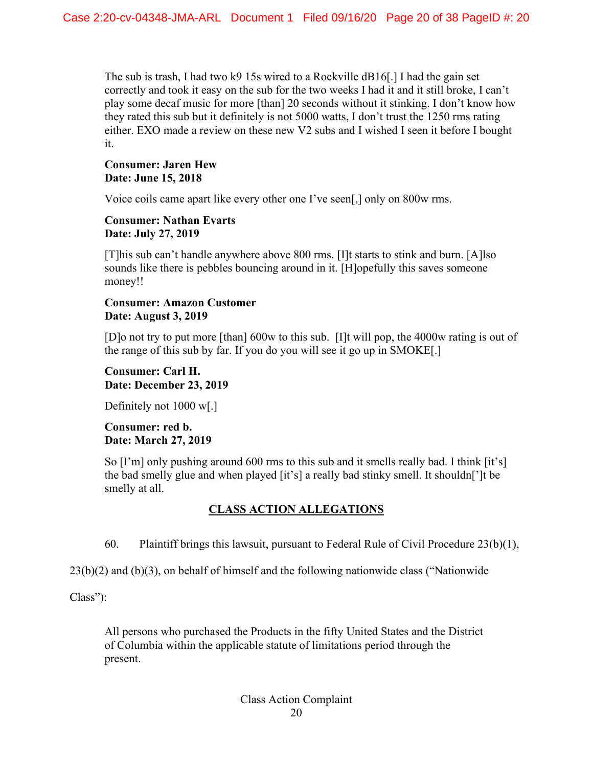The sub is trash, I had two k9 15s wired to a Rockville dB16[.] I had the gain set correctly and took it easy on the sub for the two weeks I had it and it still broke, I can't play some decaf music for more [than] 20 seconds without it stinking. I don't know how they rated this sub but it definitely is not 5000 watts, I don't trust the 1250 rms rating either. EXO made a review on these new V2 subs and I wished I seen it before I bought it.

## **Consumer: Jaren Hew Date: June 15, 2018**

Voice coils came apart like every other one I've seen[,] only on 800w rms.

## **Consumer: Nathan Evarts Date: July 27, 2019**

[T]his sub can't handle anywhere above 800 rms. [I]t starts to stink and burn. [A]lso sounds like there is pebbles bouncing around in it. [H]opefully this saves someone money!!

## **Consumer: Amazon Customer Date: August 3, 2019**

[D]o not try to put more [than] 600w to this sub. [I]t will pop, the 4000w rating is out of the range of this sub by far. If you do you will see it go up in SMOKE[.]

## **Consumer: Carl H. Date: December 23, 2019**

Definitely not 1000 w[.]

## **Consumer: red b. Date: March 27, 2019**

So  $[I'm]$  only pushing around 600 rms to this sub and it smells really bad. I think  $[it's]$ the bad smelly glue and when played [it's] a really bad stinky smell. It shouldn[']t be smelly at all.

# **CLASS ACTION ALLEGATIONS**

60. Plaintiff brings this lawsuit, pursuant to Federal Rule of Civil Procedure  $(23(b)(1),$ 

23(b)(2) and (b)(3), on behalf of himself and the following nationwide class ("Nationwide

Class"):

All persons who purchased the Products in the fifty United States and the District of Columbia within the applicable statute of limitations period through the present.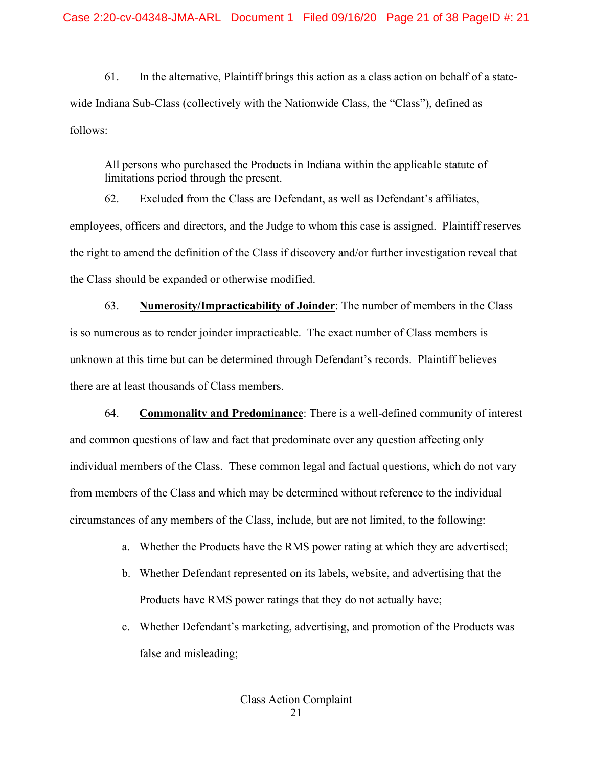61. In the alternative, Plaintiff brings this action as a class action on behalf of a statewide Indiana Sub-Class (collectively with the Nationwide Class, the "Class"), defined as follows:

All persons who purchased the Products in Indiana within the applicable statute of limitations period through the present.

62. Excluded from the Class are Defendant, as well as Defendant's affiliates, employees, officers and directors, and the Judge to whom this case is assigned. Plaintiff reserves the right to amend the definition of the Class if discovery and/or further investigation reveal that the Class should be expanded or otherwise modified.

63. **Numerosity/Impracticability of Joinder**: The number of members in the Class is so numerous as to render joinder impracticable. The exact number of Class members is unknown at this time but can be determined through Defendant's records. Plaintiff believes there are at least thousands of Class members.

64. **Commonality and Predominance**: There is a well-defined community of interest and common questions of law and fact that predominate over any question affecting only individual members of the Class. These common legal and factual questions, which do not vary from members of the Class and which may be determined without reference to the individual circumstances of any members of the Class, include, but are not limited, to the following:

- a. Whether the Products have the RMS power rating at which they are advertised;
- b. Whether Defendant represented on its labels, website, and advertising that the Products have RMS power ratings that they do not actually have;
- c. Whether Defendant's marketing, advertising, and promotion of the Products was false and misleading;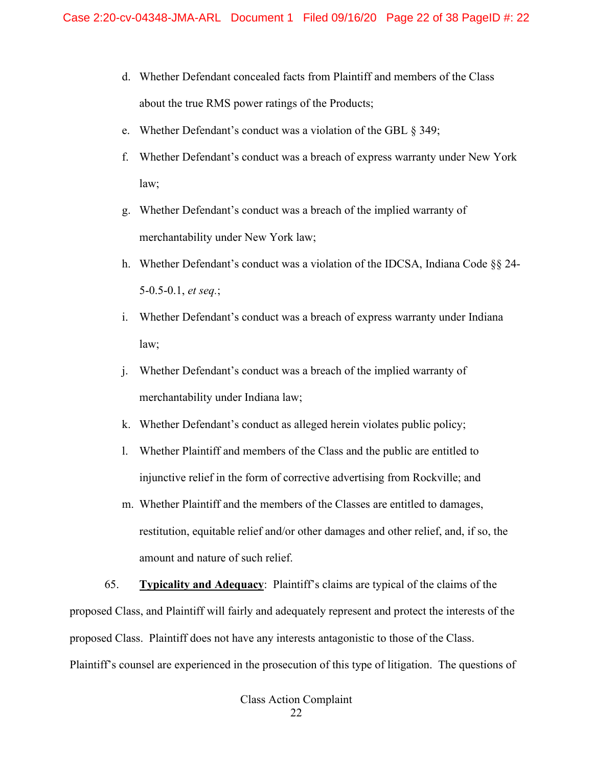- d. Whether Defendant concealed facts from Plaintiff and members of the Class about the true RMS power ratings of the Products;
- e. Whether Defendant's conduct was a violation of the GBL § 349;
- f. Whether Defendant's conduct was a breach of express warranty under New York law;
- g. Whether Defendant's conduct was a breach of the implied warranty of merchantability under New York law;
- h. Whether Defendant's conduct was a violation of the IDCSA, Indiana Code §§ 24- 5-0.5-0.1, *et seq.*;
- i. Whether Defendant's conduct was a breach of express warranty under Indiana law;
- j. Whether Defendant's conduct was a breach of the implied warranty of merchantability under Indiana law;
- k. Whether Defendant's conduct as alleged herein violates public policy;
- l. Whether Plaintiff and members of the Class and the public are entitled to injunctive relief in the form of corrective advertising from Rockville; and
- m. Whether Plaintiff and the members of the Classes are entitled to damages, restitution, equitable relief and/or other damages and other relief, and, if so, the amount and nature of such relief.

65. **Typicality and Adequacy**: Plaintiff's claims are typical of the claims of the proposed Class, and Plaintiff will fairly and adequately represent and protect the interests of the proposed Class. Plaintiff does not have any interests antagonistic to those of the Class. Plaintiff's counsel are experienced in the prosecution of this type of litigation. The questions of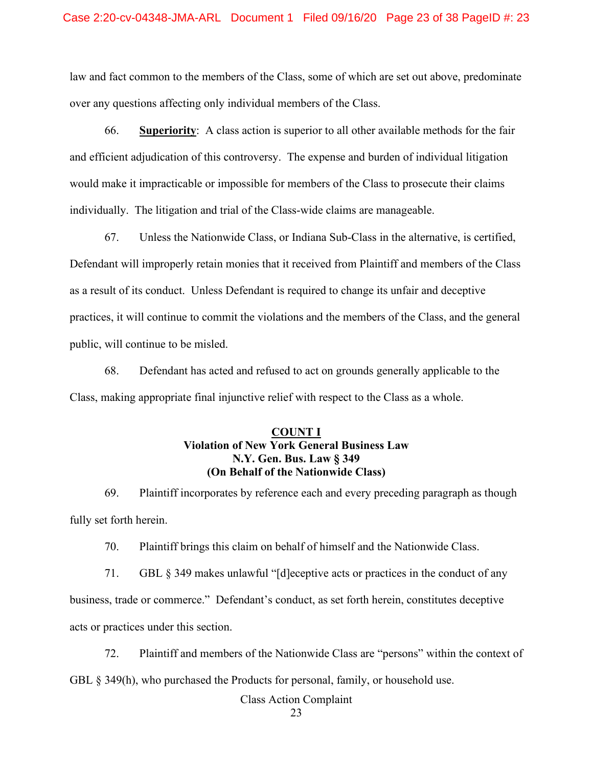law and fact common to the members of the Class, some of which are set out above, predominate over any questions affecting only individual members of the Class.

66. **Superiority**: A class action is superior to all other available methods for the fair and efficient adjudication of this controversy. The expense and burden of individual litigation would make it impracticable or impossible for members of the Class to prosecute their claims individually. The litigation and trial of the Class-wide claims are manageable.

67. Unless the Nationwide Class, or Indiana Sub-Class in the alternative, is certified, Defendant will improperly retain monies that it received from Plaintiff and members of the Class as a result of its conduct. Unless Defendant is required to change its unfair and deceptive practices, it will continue to commit the violations and the members of the Class, and the general public, will continue to be misled.

68. Defendant has acted and refused to act on grounds generally applicable to the Class, making appropriate final injunctive relief with respect to the Class as a whole.

## **COUNT I Violation of New York General Business Law N.Y. Gen. Bus. Law § 349 (On Behalf of the Nationwide Class)**

69. Plaintiff incorporates by reference each and every preceding paragraph as though fully set forth herein.

70. Plaintiff brings this claim on behalf of himself and the Nationwide Class.

71. GBL § 349 makes unlawful "[d]eceptive acts or practices in the conduct of any business, trade or commerce." Defendant's conduct, as set forth herein, constitutes deceptive acts or practices under this section.

72. Plaintiff and members of the Nationwide Class are "persons" within the context of GBL § 349(h), who purchased the Products for personal, family, or household use.

Class Action Complaint

23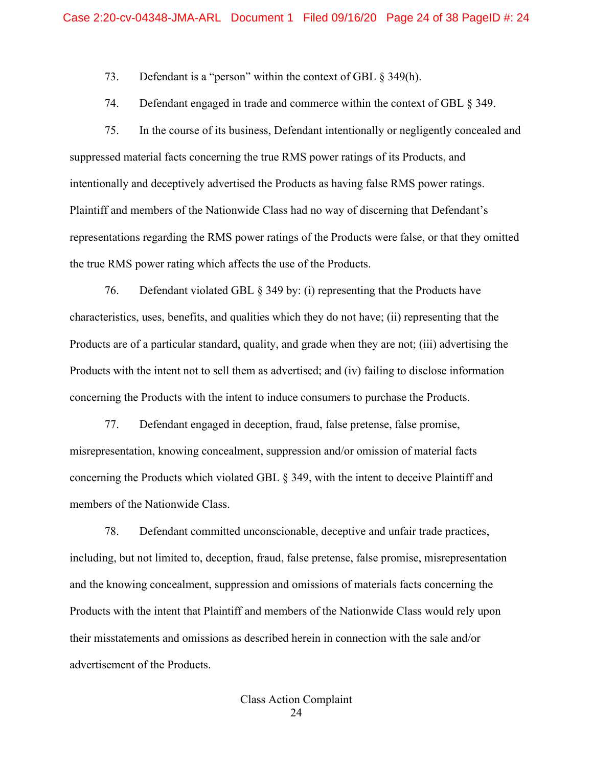73. Defendant is a "person" within the context of GBL § 349(h).

74. Defendant engaged in trade and commerce within the context of GBL § 349.

75. In the course of its business, Defendant intentionally or negligently concealed and suppressed material facts concerning the true RMS power ratings of its Products, and intentionally and deceptively advertised the Products as having false RMS power ratings. Plaintiff and members of the Nationwide Class had no way of discerning that Defendant's representations regarding the RMS power ratings of the Products were false, or that they omitted the true RMS power rating which affects the use of the Products.

76. Defendant violated GBL § 349 by: (i) representing that the Products have characteristics, uses, benefits, and qualities which they do not have; (ii) representing that the Products are of a particular standard, quality, and grade when they are not; (iii) advertising the Products with the intent not to sell them as advertised; and (iv) failing to disclose information concerning the Products with the intent to induce consumers to purchase the Products.

77. Defendant engaged in deception, fraud, false pretense, false promise, misrepresentation, knowing concealment, suppression and/or omission of material facts concerning the Products which violated GBL § 349, with the intent to deceive Plaintiff and members of the Nationwide Class.

78. Defendant committed unconscionable, deceptive and unfair trade practices, including, but not limited to, deception, fraud, false pretense, false promise, misrepresentation and the knowing concealment, suppression and omissions of materials facts concerning the Products with the intent that Plaintiff and members of the Nationwide Class would rely upon their misstatements and omissions as described herein in connection with the sale and/or advertisement of the Products.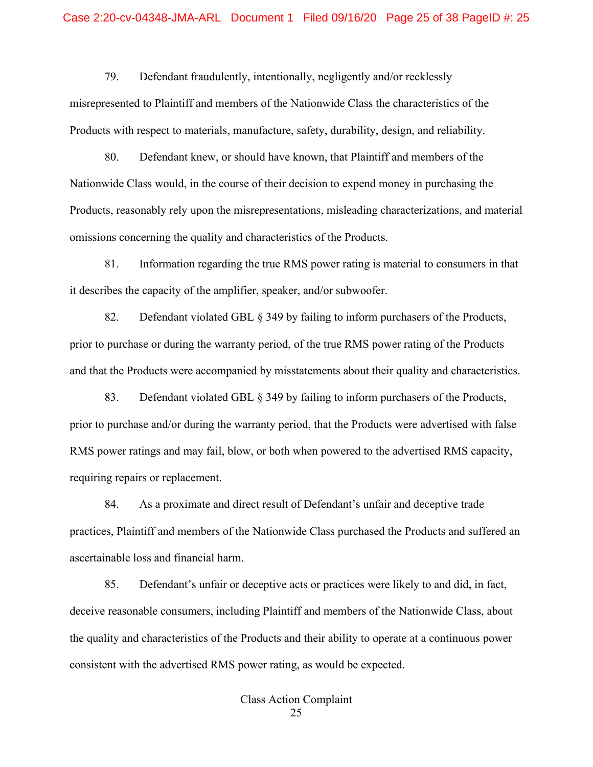#### Case 2:20-cv-04348-JMA-ARL Document 1 Filed 09/16/20 Page 25 of 38 PageID #: 25

79. Defendant fraudulently, intentionally, negligently and/or recklessly misrepresented to Plaintiff and members of the Nationwide Class the characteristics of the Products with respect to materials, manufacture, safety, durability, design, and reliability.

80. Defendant knew, or should have known, that Plaintiff and members of the Nationwide Class would, in the course of their decision to expend money in purchasing the Products, reasonably rely upon the misrepresentations, misleading characterizations, and material omissions concerning the quality and characteristics of the Products.

81. Information regarding the true RMS power rating is material to consumers in that it describes the capacity of the amplifier, speaker, and/or subwoofer.

82. Defendant violated GBL § 349 by failing to inform purchasers of the Products, prior to purchase or during the warranty period, of the true RMS power rating of the Products and that the Products were accompanied by misstatements about their quality and characteristics.

83. Defendant violated GBL § 349 by failing to inform purchasers of the Products, prior to purchase and/or during the warranty period, that the Products were advertised with false RMS power ratings and may fail, blow, or both when powered to the advertised RMS capacity, requiring repairs or replacement.

84. As a proximate and direct result of Defendant's unfair and deceptive trade practices, Plaintiff and members of the Nationwide Class purchased the Products and suffered an ascertainable loss and financial harm.

85. Defendant's unfair or deceptive acts or practices were likely to and did, in fact, deceive reasonable consumers, including Plaintiff and members of the Nationwide Class, about the quality and characteristics of the Products and their ability to operate at a continuous power consistent with the advertised RMS power rating, as would be expected.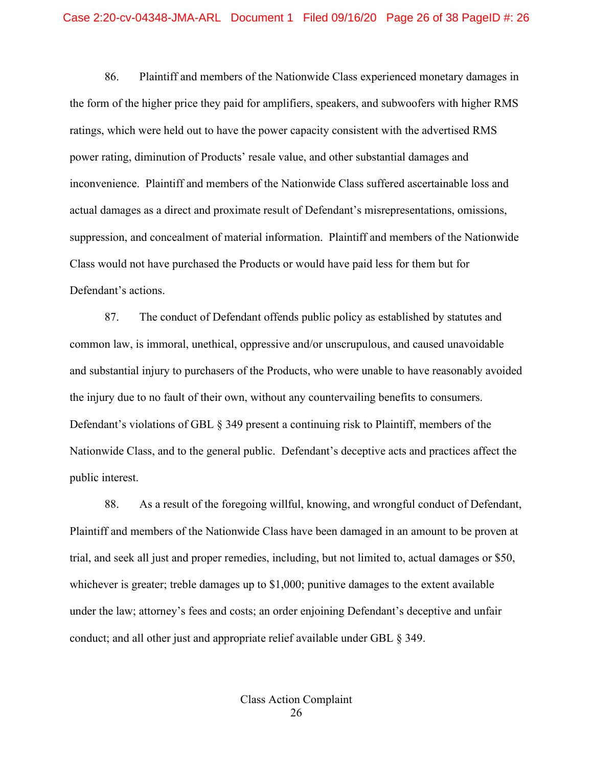86. Plaintiff and members of the Nationwide Class experienced monetary damages in the form of the higher price they paid for amplifiers, speakers, and subwoofers with higher RMS ratings, which were held out to have the power capacity consistent with the advertised RMS power rating, diminution of Products' resale value, and other substantial damages and inconvenience. Plaintiff and members of the Nationwide Class suffered ascertainable loss and actual damages as a direct and proximate result of Defendant's misrepresentations, omissions, suppression, and concealment of material information. Plaintiff and members of the Nationwide Class would not have purchased the Products or would have paid less for them but for Defendant's actions.

87. The conduct of Defendant offends public policy as established by statutes and common law, is immoral, unethical, oppressive and/or unscrupulous, and caused unavoidable and substantial injury to purchasers of the Products, who were unable to have reasonably avoided the injury due to no fault of their own, without any countervailing benefits to consumers. Defendant's violations of GBL § 349 present a continuing risk to Plaintiff, members of the Nationwide Class, and to the general public. Defendant's deceptive acts and practices affect the public interest.

88. As a result of the foregoing willful, knowing, and wrongful conduct of Defendant, Plaintiff and members of the Nationwide Class have been damaged in an amount to be proven at trial, and seek all just and proper remedies, including, but not limited to, actual damages or \$50, whichever is greater; treble damages up to \$1,000; punitive damages to the extent available under the law; attorney's fees and costs; an order enjoining Defendant's deceptive and unfair conduct; and all other just and appropriate relief available under GBL § 349.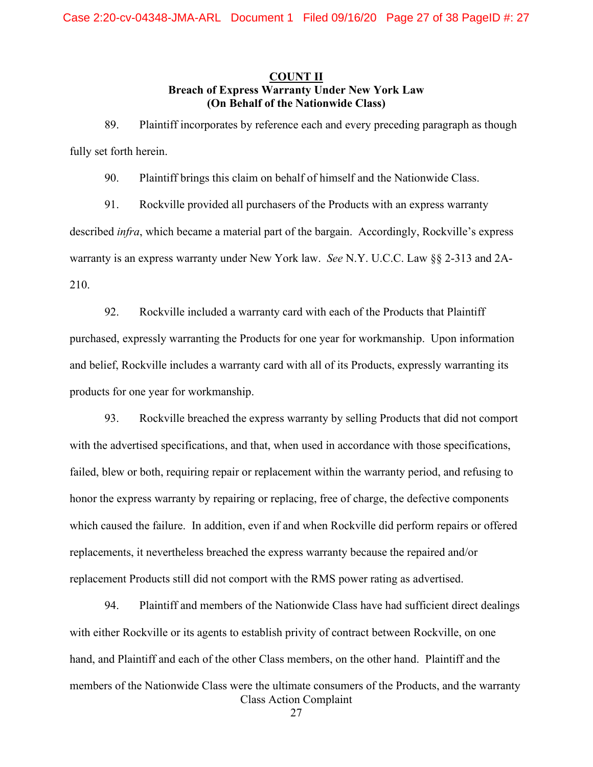## **COUNT II Breach of Express Warranty Under New York Law (On Behalf of the Nationwide Class)**

89. Plaintiff incorporates by reference each and every preceding paragraph as though fully set forth herein.

90. Plaintiff brings this claim on behalf of himself and the Nationwide Class.

91. Rockville provided all purchasers of the Products with an express warranty described *infra*, which became a material part of the bargain. Accordingly, Rockville's express warranty is an express warranty under New York law. *See* N.Y. U.C.C. Law §§ 2-313 and 2A-210.

92. Rockville included a warranty card with each of the Products that Plaintiff purchased, expressly warranting the Products for one year for workmanship. Upon information and belief, Rockville includes a warranty card with all of its Products, expressly warranting its products for one year for workmanship.

93. Rockville breached the express warranty by selling Products that did not comport with the advertised specifications, and that, when used in accordance with those specifications, failed, blew or both, requiring repair or replacement within the warranty period, and refusing to honor the express warranty by repairing or replacing, free of charge, the defective components which caused the failure. In addition, even if and when Rockville did perform repairs or offered replacements, it nevertheless breached the express warranty because the repaired and/or replacement Products still did not comport with the RMS power rating as advertised.

Class Action Complaint 94. Plaintiff and members of the Nationwide Class have had sufficient direct dealings with either Rockville or its agents to establish privity of contract between Rockville, on one hand, and Plaintiff and each of the other Class members, on the other hand. Plaintiff and the members of the Nationwide Class were the ultimate consumers of the Products, and the warranty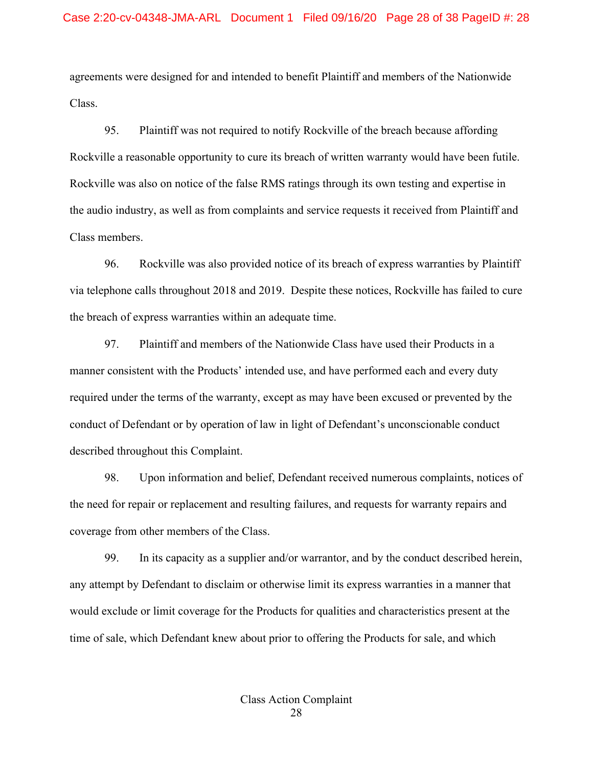agreements were designed for and intended to benefit Plaintiff and members of the Nationwide Class.

95. Plaintiff was not required to notify Rockville of the breach because affording Rockville a reasonable opportunity to cure its breach of written warranty would have been futile. Rockville was also on notice of the false RMS ratings through its own testing and expertise in the audio industry, as well as from complaints and service requests it received from Plaintiff and Class members.

96. Rockville was also provided notice of its breach of express warranties by Plaintiff via telephone calls throughout 2018 and 2019. Despite these notices, Rockville has failed to cure the breach of express warranties within an adequate time.

97. Plaintiff and members of the Nationwide Class have used their Products in a manner consistent with the Products' intended use, and have performed each and every duty required under the terms of the warranty, except as may have been excused or prevented by the conduct of Defendant or by operation of law in light of Defendant's unconscionable conduct described throughout this Complaint.

98. Upon information and belief, Defendant received numerous complaints, notices of the need for repair or replacement and resulting failures, and requests for warranty repairs and coverage from other members of the Class.

99. In its capacity as a supplier and/or warrantor, and by the conduct described herein, any attempt by Defendant to disclaim or otherwise limit its express warranties in a manner that would exclude or limit coverage for the Products for qualities and characteristics present at the time of sale, which Defendant knew about prior to offering the Products for sale, and which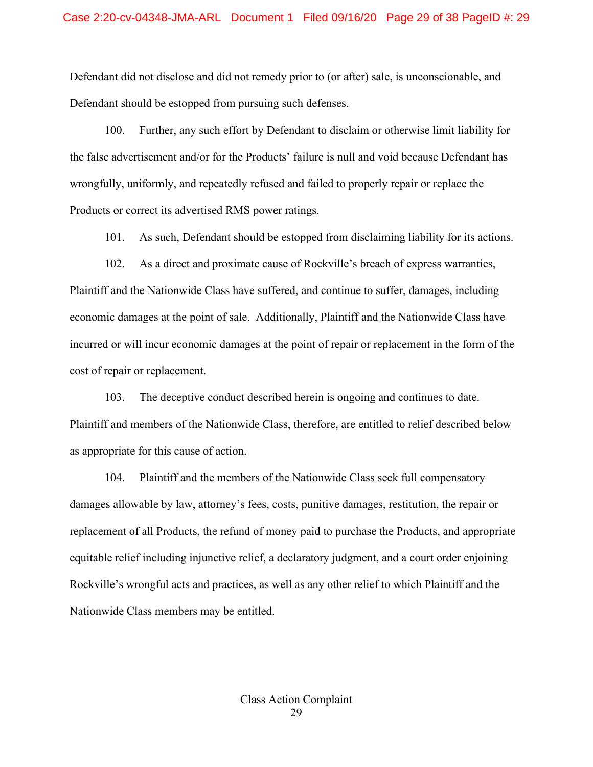Defendant did not disclose and did not remedy prior to (or after) sale, is unconscionable, and Defendant should be estopped from pursuing such defenses.

100. Further, any such effort by Defendant to disclaim or otherwise limit liability for the false advertisement and/or for the Products' failure is null and void because Defendant has wrongfully, uniformly, and repeatedly refused and failed to properly repair or replace the Products or correct its advertised RMS power ratings.

101. As such, Defendant should be estopped from disclaiming liability for its actions.

102. As a direct and proximate cause of Rockville's breach of express warranties, Plaintiff and the Nationwide Class have suffered, and continue to suffer, damages, including economic damages at the point of sale. Additionally, Plaintiff and the Nationwide Class have incurred or will incur economic damages at the point of repair or replacement in the form of the cost of repair or replacement.

103. The deceptive conduct described herein is ongoing and continues to date. Plaintiff and members of the Nationwide Class, therefore, are entitled to relief described below as appropriate for this cause of action.

104. Plaintiff and the members of the Nationwide Class seek full compensatory damages allowable by law, attorney's fees, costs, punitive damages, restitution, the repair or replacement of all Products, the refund of money paid to purchase the Products, and appropriate equitable relief including injunctive relief, a declaratory judgment, and a court order enjoining Rockville's wrongful acts and practices, as well as any other relief to which Plaintiff and the Nationwide Class members may be entitled.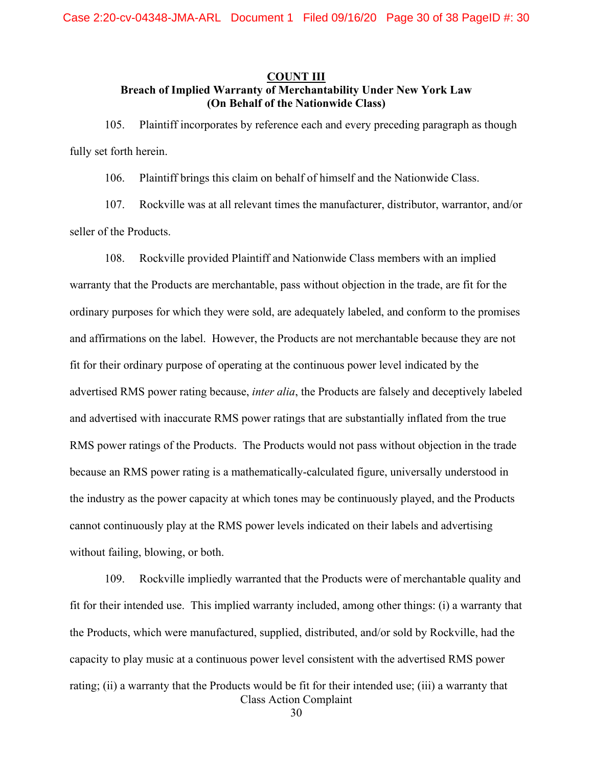## **COUNT III Breach of Implied Warranty of Merchantability Under New York Law (On Behalf of the Nationwide Class)**

105. Plaintiff incorporates by reference each and every preceding paragraph as though fully set forth herein.

106. Plaintiff brings this claim on behalf of himself and the Nationwide Class.

107. Rockville was at all relevant times the manufacturer, distributor, warrantor, and/or seller of the Products.

108. Rockville provided Plaintiff and Nationwide Class members with an implied warranty that the Products are merchantable, pass without objection in the trade, are fit for the ordinary purposes for which they were sold, are adequately labeled, and conform to the promises and affirmations on the label. However, the Products are not merchantable because they are not fit for their ordinary purpose of operating at the continuous power level indicated by the advertised RMS power rating because, *inter alia*, the Products are falsely and deceptively labeled and advertised with inaccurate RMS power ratings that are substantially inflated from the true RMS power ratings of the Products. The Products would not pass without objection in the trade because an RMS power rating is a mathematically-calculated figure, universally understood in the industry as the power capacity at which tones may be continuously played, and the Products cannot continuously play at the RMS power levels indicated on their labels and advertising without failing, blowing, or both.

Class Action Complaint 109. Rockville impliedly warranted that the Products were of merchantable quality and fit for their intended use. This implied warranty included, among other things: (i) a warranty that the Products, which were manufactured, supplied, distributed, and/or sold by Rockville, had the capacity to play music at a continuous power level consistent with the advertised RMS power rating; (ii) a warranty that the Products would be fit for their intended use; (iii) a warranty that

30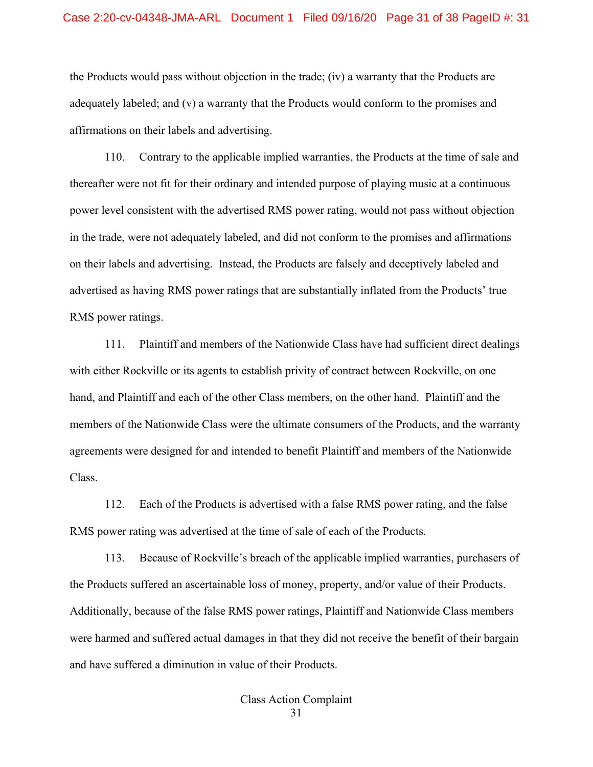the Products would pass without objection in the trade; (iv) a warranty that the Products are adequately labeled; and (v) a warranty that the Products would conform to the promises and affirmations on their labels and advertising.

110. Contrary to the applicable implied warranties, the Products at the time of sale and thereafter were not fit for their ordinary and intended purpose of playing music at a continuous power level consistent with the advertised RMS power rating, would not pass without objection in the trade, were not adequately labeled, and did not conform to the promises and affirmations on their labels and advertising. Instead, the Products are falsely and deceptively labeled and advertised as having RMS power ratings that are substantially inflated from the Products' true RMS power ratings.

111. Plaintiff and members of the Nationwide Class have had sufficient direct dealings with either Rockville or its agents to establish privity of contract between Rockville, on one hand, and Plaintiff and each of the other Class members, on the other hand. Plaintiff and the members of the Nationwide Class were the ultimate consumers of the Products, and the warranty agreements were designed for and intended to benefit Plaintiff and members of the Nationwide Class.

112. Each of the Products is advertised with a false RMS power rating, and the false RMS power rating was advertised at the time of sale of each of the Products.

113. Because of Rockville's breach of the applicable implied warranties, purchasers of the Products suffered an ascertainable loss of money, property, and/or value of their Products. Additionally, because of the false RMS power ratings, Plaintiff and Nationwide Class members were harmed and suffered actual damages in that they did not receive the benefit of their bargain and have suffered a diminution in value of their Products.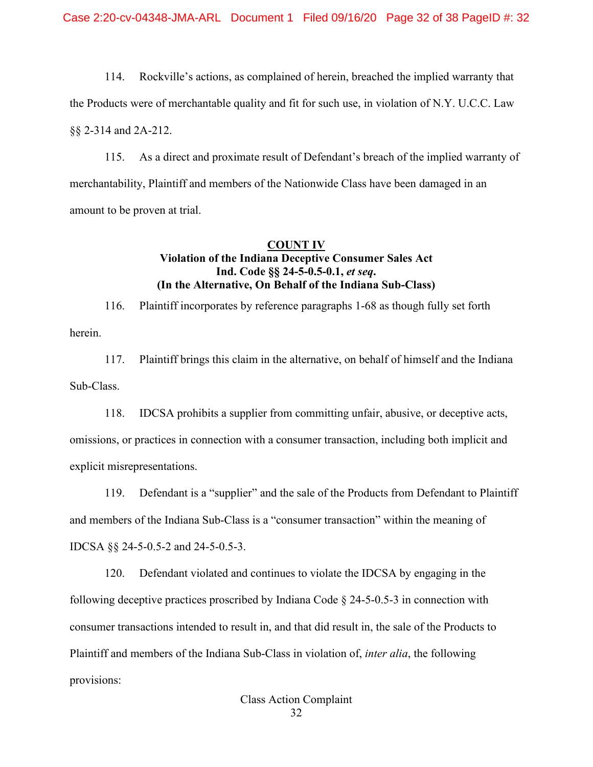114. Rockville's actions, as complained of herein, breached the implied warranty that the Products were of merchantable quality and fit for such use, in violation of N.Y. U.C.C. Law §§ 2-314 and 2A-212.

115. As a direct and proximate result of Defendant's breach of the implied warranty of merchantability, Plaintiff and members of the Nationwide Class have been damaged in an amount to be proven at trial.

## **COUNT IV Violation of the Indiana Deceptive Consumer Sales Act Ind. Code §§ 24-5-0.5-0.1,** *et seq***. (In the Alternative, On Behalf of the Indiana Sub-Class)**

116. Plaintiff incorporates by reference paragraphs 1-68 as though fully set forth herein.

117. Plaintiff brings this claim in the alternative, on behalf of himself and the Indiana Sub-Class.

118. IDCSA prohibits a supplier from committing unfair, abusive, or deceptive acts, omissions, or practices in connection with a consumer transaction, including both implicit and explicit misrepresentations.

119. Defendant is a "supplier" and the sale of the Products from Defendant to Plaintiff and members of the Indiana Sub-Class is a "consumer transaction" within the meaning of IDCSA §§ 24-5-0.5-2 and 24-5-0.5-3.

120. Defendant violated and continues to violate the IDCSA by engaging in the following deceptive practices proscribed by Indiana Code § 24-5-0.5-3 in connection with consumer transactions intended to result in, and that did result in, the sale of the Products to Plaintiff and members of the Indiana Sub-Class in violation of, *inter alia*, the following provisions:

Class Action Complaint

32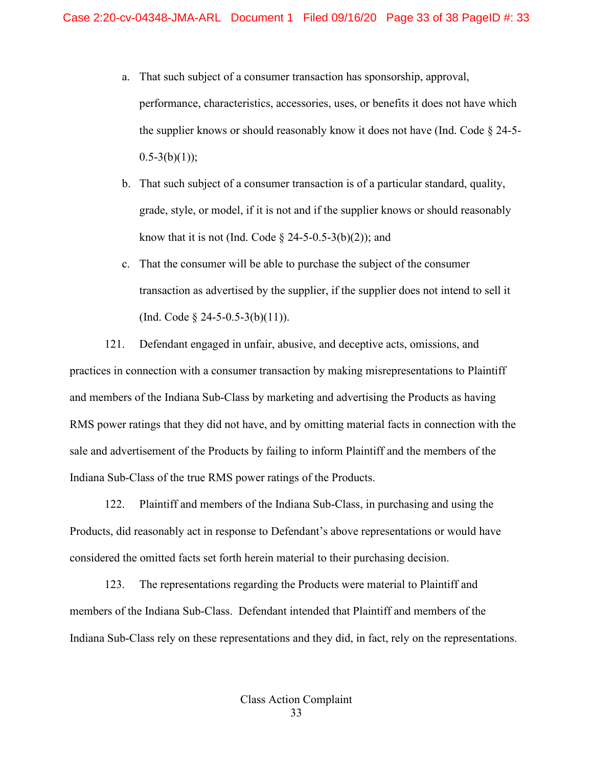- a. That such subject of a consumer transaction has sponsorship, approval, performance, characteristics, accessories, uses, or benefits it does not have which the supplier knows or should reasonably know it does not have (Ind. Code  $\S$  24-5- $0.5-3(b)(1)$ ;
- b. That such subject of a consumer transaction is of a particular standard, quality, grade, style, or model, if it is not and if the supplier knows or should reasonably know that it is not (Ind. Code  $\S$  24-5-0.5-3(b)(2)); and
- c. That the consumer will be able to purchase the subject of the consumer transaction as advertised by the supplier, if the supplier does not intend to sell it (Ind. Code  $\S$  24-5-0.5-3(b)(11)).

121. Defendant engaged in unfair, abusive, and deceptive acts, omissions, and practices in connection with a consumer transaction by making misrepresentations to Plaintiff and members of the Indiana Sub-Class by marketing and advertising the Products as having RMS power ratings that they did not have, and by omitting material facts in connection with the sale and advertisement of the Products by failing to inform Plaintiff and the members of the Indiana Sub-Class of the true RMS power ratings of the Products.

122. Plaintiff and members of the Indiana Sub-Class, in purchasing and using the Products, did reasonably act in response to Defendant's above representations or would have considered the omitted facts set forth herein material to their purchasing decision.

123. The representations regarding the Products were material to Plaintiff and members of the Indiana Sub-Class. Defendant intended that Plaintiff and members of the Indiana Sub-Class rely on these representations and they did, in fact, rely on the representations.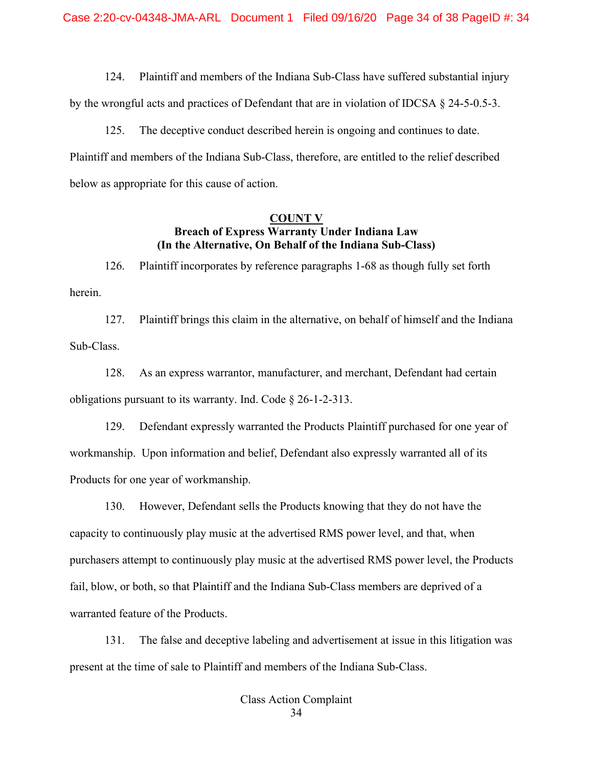124. Plaintiff and members of the Indiana Sub-Class have suffered substantial injury

by the wrongful acts and practices of Defendant that are in violation of IDCSA § 24-5-0.5-3.

125. The deceptive conduct described herein is ongoing and continues to date. Plaintiff and members of the Indiana Sub-Class, therefore, are entitled to the relief described below as appropriate for this cause of action.

#### **COUNT V Breach of Express Warranty Under Indiana Law (In the Alternative, On Behalf of the Indiana Sub-Class)**

126. Plaintiff incorporates by reference paragraphs 1-68 as though fully set forth herein.

127. Plaintiff brings this claim in the alternative, on behalf of himself and the Indiana Sub-Class.

128. As an express warrantor, manufacturer, and merchant, Defendant had certain obligations pursuant to its warranty. Ind. Code § 26-1-2-313.

129. Defendant expressly warranted the Products Plaintiff purchased for one year of workmanship. Upon information and belief, Defendant also expressly warranted all of its Products for one year of workmanship.

130. However, Defendant sells the Products knowing that they do not have the capacity to continuously play music at the advertised RMS power level, and that, when purchasers attempt to continuously play music at the advertised RMS power level, the Products fail, blow, or both, so that Plaintiff and the Indiana Sub-Class members are deprived of a warranted feature of the Products.

131. The false and deceptive labeling and advertisement at issue in this litigation was present at the time of sale to Plaintiff and members of the Indiana Sub-Class.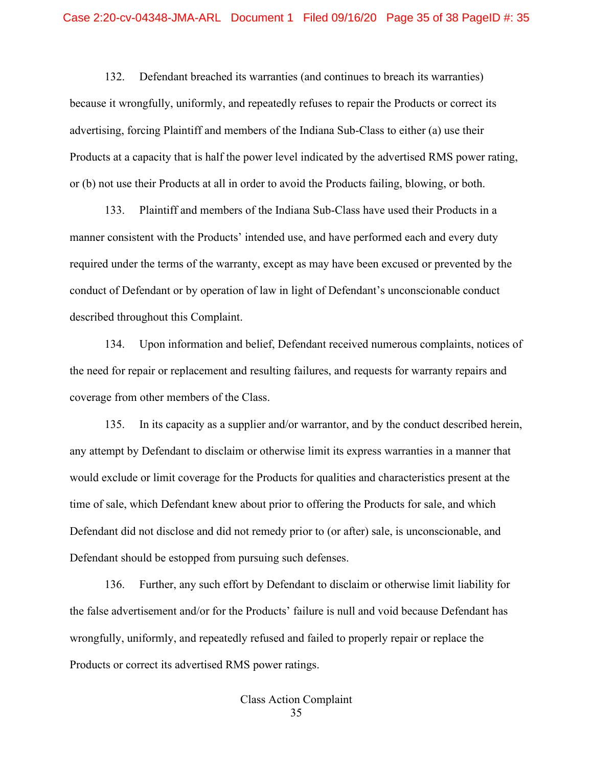132. Defendant breached its warranties (and continues to breach its warranties) because it wrongfully, uniformly, and repeatedly refuses to repair the Products or correct its advertising, forcing Plaintiff and members of the Indiana Sub-Class to either (a) use their Products at a capacity that is half the power level indicated by the advertised RMS power rating, or (b) not use their Products at all in order to avoid the Products failing, blowing, or both.

133. Plaintiff and members of the Indiana Sub-Class have used their Products in a manner consistent with the Products' intended use, and have performed each and every duty required under the terms of the warranty, except as may have been excused or prevented by the conduct of Defendant or by operation of law in light of Defendant's unconscionable conduct described throughout this Complaint.

134. Upon information and belief, Defendant received numerous complaints, notices of the need for repair or replacement and resulting failures, and requests for warranty repairs and coverage from other members of the Class.

135. In its capacity as a supplier and/or warrantor, and by the conduct described herein, any attempt by Defendant to disclaim or otherwise limit its express warranties in a manner that would exclude or limit coverage for the Products for qualities and characteristics present at the time of sale, which Defendant knew about prior to offering the Products for sale, and which Defendant did not disclose and did not remedy prior to (or after) sale, is unconscionable, and Defendant should be estopped from pursuing such defenses.

136. Further, any such effort by Defendant to disclaim or otherwise limit liability for the false advertisement and/or for the Products' failure is null and void because Defendant has wrongfully, uniformly, and repeatedly refused and failed to properly repair or replace the Products or correct its advertised RMS power ratings.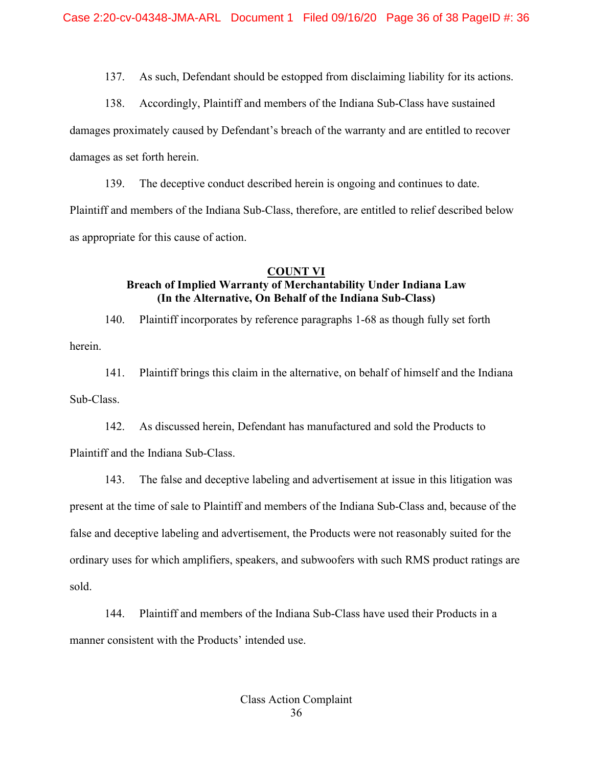137. As such, Defendant should be estopped from disclaiming liability for its actions.

138. Accordingly, Plaintiff and members of the Indiana Sub-Class have sustained

damages proximately caused by Defendant's breach of the warranty and are entitled to recover

damages as set forth herein.

139. The deceptive conduct described herein is ongoing and continues to date. Plaintiff and members of the Indiana Sub-Class, therefore, are entitled to relief described below as appropriate for this cause of action.

### **COUNT VI Breach of Implied Warranty of Merchantability Under Indiana Law (In the Alternative, On Behalf of the Indiana Sub-Class)**

140. Plaintiff incorporates by reference paragraphs 1-68 as though fully set forth herein.

141. Plaintiff brings this claim in the alternative, on behalf of himself and the Indiana Sub-Class.

142. As discussed herein, Defendant has manufactured and sold the Products to Plaintiff and the Indiana Sub-Class.

143. The false and deceptive labeling and advertisement at issue in this litigation was present at the time of sale to Plaintiff and members of the Indiana Sub-Class and, because of the false and deceptive labeling and advertisement, the Products were not reasonably suited for the ordinary uses for which amplifiers, speakers, and subwoofers with such RMS product ratings are sold.

144. Plaintiff and members of the Indiana Sub-Class have used their Products in a manner consistent with the Products' intended use.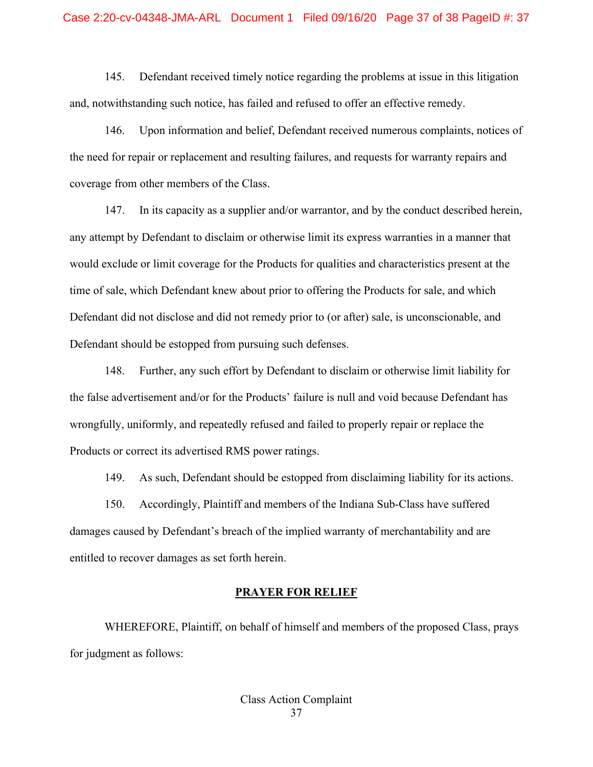145. Defendant received timely notice regarding the problems at issue in this litigation and, notwithstanding such notice, has failed and refused to offer an effective remedy.

146. Upon information and belief, Defendant received numerous complaints, notices of the need for repair or replacement and resulting failures, and requests for warranty repairs and coverage from other members of the Class.

147. In its capacity as a supplier and/or warrantor, and by the conduct described herein, any attempt by Defendant to disclaim or otherwise limit its express warranties in a manner that would exclude or limit coverage for the Products for qualities and characteristics present at the time of sale, which Defendant knew about prior to offering the Products for sale, and which Defendant did not disclose and did not remedy prior to (or after) sale, is unconscionable, and Defendant should be estopped from pursuing such defenses.

148. Further, any such effort by Defendant to disclaim or otherwise limit liability for the false advertisement and/or for the Products' failure is null and void because Defendant has wrongfully, uniformly, and repeatedly refused and failed to properly repair or replace the Products or correct its advertised RMS power ratings.

149. As such, Defendant should be estopped from disclaiming liability for its actions.

150. Accordingly, Plaintiff and members of the Indiana Sub-Class have suffered damages caused by Defendant's breach of the implied warranty of merchantability and are entitled to recover damages as set forth herein.

#### **PRAYER FOR RELIEF**

 WHEREFORE, Plaintiff, on behalf of himself and members of the proposed Class, prays for judgment as follows: